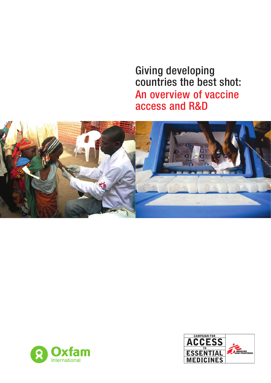Giving developing countries the best shot: An overview of vaccine access and R&D





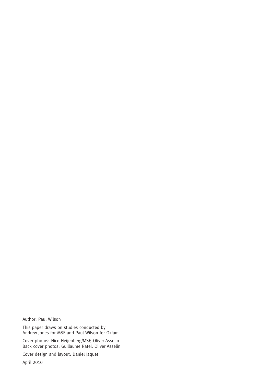Author: Paul Wilson

This paper draws on studies conducted by Andrew Jones for MSF and Paul Wilson for Oxfam

Cover photos: Nico Heijenberg/MSF, Oliver Asselin Back cover photos: Guillaume Ratel, Oliver Asselin

Cover design and layout: Daniel Jaquet

April 2010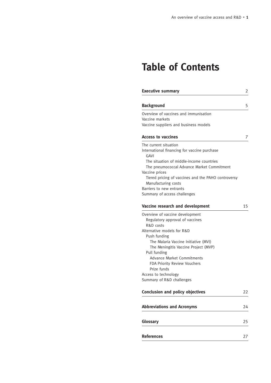# **Table of Contents**

| <b>Executive summary</b>                                 | 2  |
|----------------------------------------------------------|----|
| <b>Background</b>                                        | 5  |
| Overview of vaccines and immunisation                    |    |
| Vaccine markets                                          |    |
| Vaccine suppliers and business models                    |    |
| <b>Access to vaccines</b>                                | 7  |
| The current situation                                    |    |
| International financing for vaccine purchase<br>GAVI     |    |
| The situation of middle-income countries                 |    |
| The pneumococcal Advance Market Commitment               |    |
| Vaccine prices                                           |    |
| Tiered pricing of vaccines and the PAHO controversy      |    |
| Manufacturing costs                                      |    |
| Barriers to new entrants<br>Summary of access challenges |    |
|                                                          |    |
| Vaccine research and development                         | 15 |
| Overview of vaccine development                          |    |
| Regulatory approval of vaccines                          |    |
| R&D costs                                                |    |
| Alternative models for R&D                               |    |
| Push funding                                             |    |
| The Malaria Vaccine Initiative (MVI)                     |    |
| The Meningitis Vaccine Project (MVP)                     |    |
| Pull funding                                             |    |
| <b>Advance Market Commitments</b>                        |    |
| FDA Priority Review Vouchers                             |    |
| Prize funds                                              |    |
| Access to technology                                     |    |
| Summary of R&D challenges                                |    |
| <b>Conclusion and policy objectives</b>                  | 22 |
| <b>Abbreviations and Acronyms</b>                        | 24 |
| Glossary                                                 | 25 |
|                                                          |    |
| <b>References</b>                                        | 27 |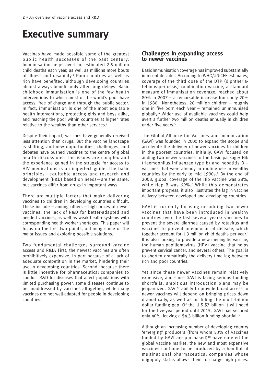# **Executive summary**

Vaccines have made possible some of the greatest public health successes of the past century. Immunisation helps avert an estimated 2.5 million child deaths each year, as well as millions more bouts of illness and disability.<sup>1</sup> Poor countries as well as rich have benefited, although developing countries almost always benefit only after long delays. Basic childhood immunisation is one of the few health interventions to which most of the world's poor have access, free of charge and through the public sector. In fact, immunisation is one of the most equitable health interventions, protecting girls and boys alike, and reaching the poor within countries at higher rates relative to the wealthy than other services.<sup>2</sup>

Despite their impact, vaccines have generally received less attention than drugs. But the vaccine landscape is shifting, and new opportunities, challenges, and debates have pushed vaccines to the centre of global health discussions. The issues are complex and the experience gained in the struggle for access to HIV medications is an imperfect guide. The basic principles—equitable access and research and development (R&D) based on needs—are the same, but vaccines differ from drugs in important ways.

There are multiple factors that make delivering vaccines to children in developing countries difficult. These include – among others – high prices of newer vaccines, the lack of R&D for better-adapted and needed vaccines, as well as weak health systems with corresponding health worker shortages. This paper will focus on the first two points, outlining some of the major issues and exploring possible solutions.

Two fundamental challenges surround vaccine access and R&D: First, the newest vaccines are often prohibitively expensive, in part because of a lack of adequate competition in the market, hindering their use in developing countries. Second, because there is little incentive for pharmaceutical companies to conduct R&D for diseases that affect populations with limited purchasing power, some diseases continue to be unaddressed by vaccines altogether, while many vaccines are not well-adapted for people in developing countries.

## **Challenges in expanding access to newer vaccines**

Basic immunisation coverage has improved substantially in recent decades. According to WHO/UNICEF estimates, coverage of the third dose of the DTP (diphtheriatetanus-pertussis) combination vaccine, a standard measure of immunisation coverage, reached about 80% in 2007 – a remarkable increase from only 20% in 1980. 3 Nonetheless, 26 million children – roughly one in five born each year – remained unimmunised globally.<sup>4</sup> Wider use of available vaccines could help avert a further two million deaths annually in children under five years.<sup>5</sup>

The Global Alliance for Vaccines and Immunization (GAVI) was founded in 2000 to expand the scope and accelerate the delivery of newer vaccines to children in the poorest countries. Initially, GAVI focused on adding two newer vaccines to the basic package: Hib (Haemophilus influenzae type b) and hepatitis  $B$ vaccines that were already in routine use in wealthy countries by the early to mid 1990s.<sup>6</sup> By the end of 2008, global coverage of the Hib vaccine was 28%, while Hep B was 69%.7 While this demonstrates important progress, it also illustrates the lag in vaccine delivery between developed and developing countries.

GAVI is currently focusing on adding two newer vaccines that have been introduced in wealthy countries over the last several years: vaccines to prevent the severe diarrhea caused by rotavirus and vaccines to prevent pneumococcal disease, which together account for 1.3 million child deaths per year.<sup>8</sup> It is also looking to provide a new meningitis vaccine, the human papillomavirus (HPV) vaccine that helps prevent cervical cancer, and several others. The goal is to shorten dramatically the delivery time lag between rich and poor countries.

Yet since these newer vaccines remain relatively expensive, and since GAVI is facing serious funding shortfalls, ambitious introduction plans may be jeopardized. GAVI's ability to provide broad access to newer vaccines will depend on bringing prices down dramatically, as well as on filling the multi-billion dollar funding gap. Of the U.S.\$7 billion it will need for the five-year period until 2015, GAVI has secured only 40%, leaving a \$4.3 billion funding shortfall.<sup>9</sup>

Although an increasing number of developing country 'emerging' producers (from whom 53% of vaccines funded by GAVI are purchased) $10$  have entered the global vaccine market, the new and most expensive vaccines continue to be produced by a handful of multinational pharmaceutical companies whose oligopoly status allows them to charge high prices.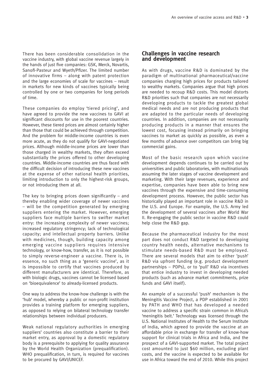There has been considerable consolidation in the vaccine industry, with global vaccine revenue largely in the hands of just five companies: GSK, Merck, Novartis, Sanofi-Pasteur and Wyeth/Pfizer. The limited number of innovative firms – along with patent protection and the large economies of scale for vaccines – result in markets for new kinds of vaccines typically being controlled by one or two companies for long periods of time.

These companies do employ 'tiered pricing', and have agreed to provide the new vaccines to GAVI at significant discounts for use in the poorest countries. However, these tiered prices are almost certainly higher than those that could be achieved through competition. And the problem for middle-income countries is even more acute, as they do not qualify for GAVI-negotiated prices. Although middle-income prices are lower than those charged in wealthy markets, they often exceed substantially the prices offered to other developing countries. Middle-income countries are thus faced with the difficult decision of introducing these new vaccines at the expense of other national health priorities, limiting introduction to only the highest-risk groups, or not introducing them at all.

The key to bringing prices down significantly  $-$  and thereby enabling wider coverage of newer vaccines – will be the competition generated by emerging suppliers entering the market. However, emerging suppliers face multiple barriers to swifter market entry: the increasing complexity of newer vaccines; increased regulatory stringency; lack of technological capacity; and intellectual property barriers. Unlike with medicines, though, building capacity among emerging vaccine suppliers requires intensive technology, or know-how, transfer, as it is not possible to simply reverse-engineer a vaccine. There is, in essence, no such thing as a 'generic vaccine', as it is impossible to certify that vaccines produced by different manufacturers are identical. Therefore, as with biologic drugs, vaccines cannot be licensed based on 'bioequivalence' to already-licensed products.

One way to address the know-how challenge is with the 'hub' model, whereby a public or non-profit institution provides a training platform for emerging suppliers, as opposed to relying on bilateral technology transfer relationships between individual producers.

Weak national regulatory authorities in emerging suppliers' countries also constitute a barrier to their market entry, as approval by a domestic regulatory body is a prerequisite to applying for quality assurance by the World Health Organization (prequalification). WHO prequalification, in turn, is required for vaccines to be procured by GAVI/UNICEF.

### **Challenges in vaccine research and development**

As with drugs, vaccine R&D is dominated by the paradigm of multinational pharmaceutical/vaccine companies charging high prices for products tailored to wealthy markets. Companies argue that high prices are needed to recoup R&D costs. This model distorts R&D priorities such that companies are not necessarily developing products to tackle the greatest global medical needs and are not producing products that are adapted to the particular needs of developing countries. In addition, companies are not necessarily producing products in a manner that ensures the lowest cost, focusing instead primarily on bringing vaccines to market as quickly as possible, as even a few months of advance over competitors can bring big commercial gains.

Most of the basic research upon which vaccine development depends continues to be carried out by universities and public laboratories, with multinationals assuming the later stages of vaccine development and marketing. With their large revenues, experience and expertise, companies have been able to bring new vaccines through the expensive and time-consuming development process. However, the public sector has historically played an important role in vaccine R&D in the U.S. and Europe. For example, the U.S. Army led the development of several vaccines after World War II. Re-engaging the public sector in vaccine R&D could help close the R&D gap.

Because the pharmaceutical industry for the most part does not conduct R&D targeted to developing country health needs, alternative mechanisms to stimulate needs-based R&D must be employed. There are several models that aim to either 'push' R&D via upfront funding (e.g. product development partnerships – PDPs), or to 'pull' R&D via incentives that entice industry to invest in developing needed products (such as advance market commitments, prize funds and GAVI itself).

An example of a successful 'push' mechanism is the Meningitis Vaccine Project, a PDP established in 2001 by PATH and WHO that has developed a needed vaccine to address a specific strain common in Africa's 'meningitis belt.' Technology was licensed through the U.S. National Institutes of Health to the Serum Institute of India, which agreed to provide the vaccine at an affordable price in exchange for transfer of know-how support for clinical trials in Africa and India, and the prospect of a GAVI-supported market. The total project cost amounted to just \$60 million, excluding plant costs, and the vaccine is expected to be available for use in Africa toward the end of 2010. While this project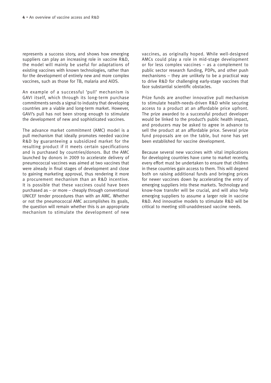represents a success story, and shows how emerging suppliers can play an increasing role in vaccine R&D, the model will mainly be useful for adaptations of existing vaccines with known technologies, rather than for the development of entirely new and more complex vaccines, such as those for TB, malaria and AIDS.

An example of a successful 'pull' mechanism is GAVI itself, which through its long-term purchase commitments sends a signal to industry that developing countries are a viable and long-term market. However, GAVI's pull has not been strong enough to stimulate the development of new and sophisticated vaccines.

The advance market commitment (AMC) model is a pull mechanism that ideally promotes needed vaccine R&D by guaranteeing a subsidized market for the resulting product if it meets certain specifications and is purchased by countries/donors. But the AMC launched by donors in 2009 to accelerate delivery of pneumococcal vaccines was aimed at two vaccines that were already in final stages of development and close to gaining marketing approval, thus rendering it more a procurement mechanism than an R&D incentive. It is possible that these vaccines could have been purchased as – or more – cheaply through conventional UNICEF tender procedures than with an AMC. Whether or not the pneumococcal AMC accomplishes its goals, the question will remain whether this is an appropriate mechanism to stimulate the development of new vaccines, as originally hoped. While well-designed AMCs could play a role in mid-stage development or for less complex vaccines – as a complement to public sector research funding, PDPs, and other push mechanisms – they are unlikely to be a practical way to drive R&D for challenging early-stage vaccines that face substantial scientific obstacles.

Prize funds are another innovative pull mechanism to stimulate health-needs-driven R&D while securing access to a product at an affordable price upfront. The prize awarded to a successful product developer would be linked to the product's public health impact, and producers may be asked to agree in advance to sell the product at an affordable price. Several prize fund proposals are on the table, but none has yet been established for vaccine development.

Because several new vaccines with vital implications for developing countries have come to market recently, every effort must be undertaken to ensure that children in these countries gain access to them. This will depend both on raising additional funds and bringing prices for newer vaccines down by accelerating the entry of emerging suppliers into these markets. Technology and know-how transfer will be crucial, and will also help emerging suppliers to assume a larger role in vaccine R&D. And innovative models to stimulate R&D will be critical to meeting still-unaddressed vaccine needs.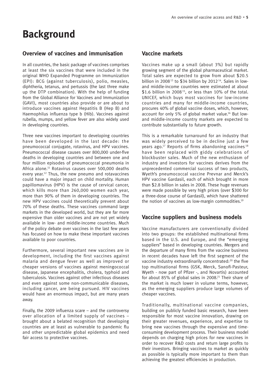## **Background**

## **Overview of vaccines and immunisation**

In all countries, the basic package of vaccines comprises at least the six vaccines that were included in the original WHO Expanded Programme on Immunization (EPI): BCG (against tuberculosis), polio, measles, diphtheria, tetanus, and pertussis (the last three make up the DTP combination). With the help of funding from the Global Alliance for Vaccines and Immunization (GAVI), most countries also provide or are about to introduce vaccines against Hepatitis B (Hep B) and Haemophilus influenza type b (Hib). Vaccines against rubella, mumps, and yellow fever are also widely used in developing countries.

Three new vaccines important to developing countries have been developed in the last decade: the pneumococcal conjugate, rotavirus, and HPV vaccines. Pneumococcal disease causes over 800,000 under-five deaths in developing countries and between one and four million episodes of pneumococcal pneumonia in Africa alone.<sup>11</sup> Rotavirus causes over 500,000 deaths every year.12 Thus, the new pneumo and rotavaccines could have a major impact on child mortality. Human papillomavirus (HPV) is the cause of cervical cancer, which kills more than 260,000 women each year, more than 90% of them in developing countries. The new HPV vaccines could theoretically prevent about 70% of these deaths. These vaccines command large markets in the developed world, but they are far more expensive than older vaccines and are not yet widely available in low- and middle-income countries. Much of the policy debate over vaccines in the last few years has focused on how to make these important vaccines available to poor countries.

Furthermore, several important new vaccines are in development, including the first vaccines against malaria and dengue fever as well as improved or cheaper versions of vaccines against meningococcal disease, Japanese encephalitis, cholera, typhoid and tuberculosis. Vaccines against other infectious diseases and even against some non-communicable diseases, including cancer, are being pursued. HIV vaccines would have an enormous impact, but are many years away.

Finally, the 2009 influenza scare – and the controversy over allocation of a limited supply of vaccines – brought about a belated recognition that developing countries are at least as vulnerable to pandemic flu and other unpredictable global epidemics and need fair access to protective vaccines.

### **Vaccine markets**

Vaccines make up a small (about 3%) but rapidly growing segment of the global pharmaceutical market. Total sales are expected to grow from about \$20.5 billion in 2008<sup>13</sup> to \$34 billion by 2012<sup>14</sup>. Sales in lowand middle-income countries were estimated at about \$1.6 billion in 2008<sup>15</sup>, or less than 10% of the total. UNICEF, which buys most vaccines for low-income countries and many for middle-income countries, procures 40% of global vaccine doses, which, however, account for only 5% of global market value.16 But lowand middle-income country markets are expected to contribute substantially to future growth.

This is a remarkable turnaround for an industry that was widely perceived to be in decline just a few years ago.<sup>17</sup> Reports of firms abandoning vaccines<sup>18</sup> have been replaced with giddy celebrations of blockbuster sales. Much of the new enthusiasm of industry and investors for vaccines derives from the unprecedented commercial success of two products, Wyeth's pneumococcal vaccine Prevnar and Merck's HPV vaccine Gardasil, each of which brought in more than \$2.8 billion in sales in 2008. These huge revenues were made possible by very high prices (over \$300 for a three-dose course of Gardasil), which have shattered the notion of vaccines as low-margin commodities.<sup>19</sup>

## **Vaccine suppliers and business models**

Vaccine manufacturers are conventionally divided into two groups: the established multinational firms based in the U.S. and Europe, and the "emerging suppliers" based in developing countries. Mergers and the departure of many firms from the vaccine business in recent decades have left the first segment of the vaccine industry extraordinarily concentrated:20 the five top multinational firms (GSK, Merck, Sanofi-Pasteur, Wyeth - now part of Pfizer -, and Novartis) accounted for about 85% of global sales in 2008. <sup>21</sup> Their share of the market is much lower in volume terms, however, as the emerging suppliers produce large volumes of cheaper vaccines.

Traditionally, multinational vaccine companies, building on publicly funded basic research, have been responsible for most vaccine innovation, drawing on their greater revenues, experience, and expertise to bring new vaccines through the expensive and timeconsuming development process. Their business model depends on charging high prices for new vaccines in order to recover R&D costs and return large profits to their investors. Bringing vaccines to market as quickly as possible is typically more important to them than achieving the greatest efficiencies in production.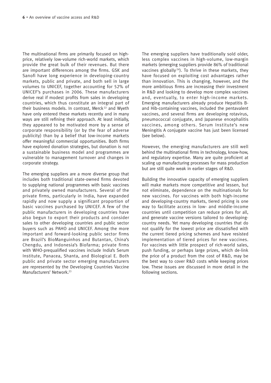The multinational firms are primarily focused on highprice, relatively low-volume rich-world markets, which provide the great bulk of their revenues. But there are important differences among the firms. GSK and Sanofi have long experience in developing-country markets, public and private, and both sell in large volumes to UNICEF, together accounting for 52% of UNICEF's purchases in 2006. These manufacturers derive real if modest profits from sales in developing countries, which thus constitute an integral part of their business models. In contrast, Merck <sup>22</sup> and Wyeth have only entered these markets recently and in many ways are still refining their approach. At least initially, they appeared to be motivated more by a sense of corporate responsibility (or by the fear of adverse publicity) than by a belief that low-income markets offer meaningful commercial opportunities. Both firms have explored donation strategies, but donation is not a sustainable business model and programmes are vulnerable to management turnover and changes in corporate strategy.

The emerging suppliers are a more diverse group that includes both traditional state-owned firms devoted to supplying national programmes with basic vaccines and privately owned manufacturers. Several of the private firms, particularly in India, have expanded rapidly and now supply a significant proportion of basic vaccines purchased by UNICEF. A few of the public manufacturers in developing countries have also begun to export their products and consider sales to other developing countries and public sector buyers such as PAHO and UNICEF. Among the more important and forward-looking public sector firms are Brazil's BioManguinhos and Butantan, China's Chengdu, and Indonesia's Biofarma; private firms with WHO-prequalified vaccines include India's Serum Institute, Panacea, Shanta, and Biological E. Both public and private sector emerging manufacturers are represented by the Developing Countries Vaccine Manufacturers' Network.<sup>23</sup>

The emerging suppliers have traditionally sold older, less complex vaccines in high-volume, low-margin markets (emerging suppliers provide 86% of traditional vaccines globally<sup>24</sup>). To thrive in these markets, they have focused on exploiting cost advantages rather than innovation. This is changing, however, and the more ambitious firms are increasing their investment in R&D and looking to develop more complex vaccines and, eventually, to enter high-income markets. Emerging manufacturers already produce Hepatitis Band Hib-containing vaccines, included the pentavalent vaccines, and several firms are developing rotavirus, pneumococcal conjugate, and Japanese encephalitis vaccines, among others. Serum Institute's new Meningitis A conjugate vaccine has just been licensed (see below).

However, the emerging manufacturers are still well behind the multinational firms in technology, know-how, and regulatory expertise. Many are quite proficient at scaling up manufacturing processes for mass production but are still quite weak in earlier stages of R&D.

Building the innovative capacity of emerging suppliers will make markets more competitive and lessen, but not eliminate, dependence on the multinationals for new vaccines. For vaccines with both high-income and developing-country markets, tiered pricing is one way to facilitate access in low- and middle-income countries until competition can reduce prices for all, and generate vaccine versions tailored to developingcountry needs. Yet many developing countries that do not qualify for the lowest price are dissatisfied with the current tiered pricing schemes and have resisted implementation of tiered prices for new vaccines. For vaccines with little prospect of rich-world sales, push funding, or perhaps large prizes, which de-link the price of a product from the cost of R&D, may be the best way to cover R&D costs while keeping prices low. These issues are discussed in more detail in the following sections.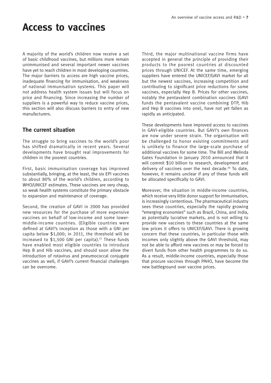## **Access to vaccines**

A majority of the world's children now receive a set of basic childhood vaccines, but millions more remain unimmunised and several important newer vaccines have yet to reach children in most developing countries. The major barriers to access are high vaccine prices, inadequate financing for immunisation, and weakness of national immunisation systems. This paper will not address health system issues but will focus on price and financing. Since increasing the number of suppliers is a powerful way to reduce vaccine prices, this section will also discuss barriers to entry of new manufacturers.

## **The current situation**

The struggle to bring vaccines to the world's poor has shifted dramatically in recent years. Several developments have brought real improvements for children in the poorest countries.

First, basic immunisation coverage has improved substantially, bringing, at the least, the six EPI vaccines to about 80% of the world's children, according to WHO/UNICEF estimates. These vaccines are very cheap, so weak health systems constitute the primary obstacle to expansion and maintenance of coverage.

Second, the creation of GAVI in 2000 has provided new resources for the purchase of more expensive vaccines on behalf of low-income and some lowermiddle-income countries. (Eligible countries were defined at GAVI's inception as those with a GNI per capita below \$1,000; in 2011, the threshold will be increased to  $$1,500$  GNI per capita).<sup>25</sup> These funds have enabled most eligible countries to introduce Hep B and Hib vaccines, and should soon allow the introduction of rotavirus and pneumococcal conjugate vaccines as well, if GAVI's current financial challenges can be overcome.

Third, the major multinational vaccine firms have accepted in general the principle of providing their products to the poorest countries at discounted prices through UNICEF. At the same time, emerging suppliers have entered the UNICEF/GAVI market for all but the newest vaccines, increasing competition and contributing to significant price reductions for some vaccines, especially Hep B. Prices for other vaccines, notably the pentavalent combination vaccines (GAVI funds the pentavalent vaccine combining DTP, Hib and Hep B vaccines into one), have not yet fallen as rapidly as anticipated.

These developments have improved access to vaccines in GAVI-eligible countries. But GAVI's own finances are now under severe strain. The organisation will be challenged to honor existing commitments and is unlikely to finance the large-scale purchase of additional vaccines for some time. The Bill and Melinda Gates Foundation in January 2010 announced that it will commit \$10 billion to research, development and delivery of vaccines over the next decade.<sup>26</sup> To date, however, it remains unclear if any of these funds will be allocated specifically to GAVI.

Moreover, the situation in middle-income countries, which receive very little donor support for immunisation, is increasingly contentious. The pharmaceutical industry sees these countries, especially the rapidly growing "emerging economies" such as Brazil, China, and India, as potentially lucrative markets, and is not willing to provide new vaccines to these countries at the same low prices it offers to UNICEF/GAVI. There is growing concern that these countries, in particular those with incomes only slightly above the GAVI threshold, may not be able to afford new vaccines or may be forced to divert funds from other health programmes to do so. As a result, middle-income countries, especially those that procure vaccines through PAHO, have become the new battleground over vaccine prices.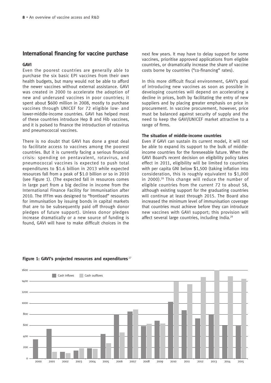### **International financing for vaccine purchase**

#### **GAVI**

Even the poorest countries are generally able to purchase the six basic EPI vaccines from their own health budgets, but many would not be able to afford the newer vaccines without external assistance. GAVI was created in 2000 to accelerate the adoption of new and underused vaccines in poor countries; it spent about \$600 million in 2008, mostly to purchase vaccines through UNICEF for 72 eligible low- and lower-middle-income countries. GAVI has helped most of these countries introduce Hep B and Hib vaccines, and it is poised to finance the introduction of rotavirus and pneumococcal vaccines.

There is no doubt that GAVI has done a great deal to facilitate access to vaccines among the poorest countries. But it is currently facing a serious financial crisis: spending on pentavalent, rotavirus, and pneumococcal vaccines is expected to push total expenditures to \$1.6 billion in 2013 while expected resources fall from a peak of \$1.0 billion or so in 2010 (see Figure 1). (The expected fall in resources comes in large part from a big decline in income from the International Finance Facility for Immunisation after 2010. The IFFIm was designed to "frontload" resources for immunisation by issuing bonds in capital markets that are to be subsequently paid off through donor pledges of future support). Unless donor pledges increase dramatically or a new source of funding is found, GAVI will have to make difficult choices in the next few years. It may have to delay support for some vaccines, prioritise approved applications from eligible countries, or dramatically increase the share of vaccine costs borne by countries ("co-financing" rates).

In this more difficult fiscal environment, GAVI's goal of introducing new vaccines as soon as possible in developing countries will depend on accelerating a decline in prices, both by facilitating the entry of new suppliers and by placing greater emphasis on price in procurement. In vaccine procurement, however, price must be balanced against security of supply and the need to keep the GAVI/UNICEF market attractive to a range of firms.

#### **The situation of middle-income countries**

Even if GAVI can sustain its current model, it will not be able to expand its support to the bulk of middleincome countries for the foreseeable future. When the GAVI Board's recent decision on eligibility policy takes effect in 2011, eligibility will be limited to countries with per capita GNI below \$1,500 (taking inflation into consideration, this is roughly equivalent to \$1,000 in 2000).28 This change will reduce the number of eligible countries from the current 72 to about 58, although existing support for the graduating countries will continue at least through 2015. The Board also increased the minimum level of immunisation coverage that countries must achieve before they can introduce new vaccines with GAVI support; this provision will affect several large countries, including India.<sup>29</sup>



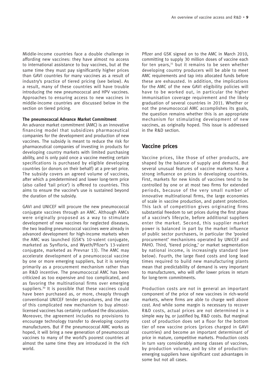Middle-income countries face a double challenge in affording new vaccines: they have almost no access to international assistance to buy vaccines, but at the same time they must pay significantly higher prices than GAVI countries for many vaccines as a result of industry's practice of tiered pricing (see below). As a result, many of these countries will have trouble introducing the new pneumococcal and HPV vaccines. Approaches to ensuring access to new vaccines in middle-income countries are discussed below in the section on tiered pricing.

#### **The pneumococcal Advance Market Commitment**

An advance market commitment (AMC) is an innovative financing model that subsidizes pharmaceutical companies for the development and production of new vaccines. The subsidy is meant to reduce the risk for pharmaceutical companies of investing in products for developing country markets with limited purchasing ability, and is only paid once a vaccine meeting certain specifications is purchased by eligible developing countries (or donors on their behalf) at a pre-set price. The subsidy covers an agreed volume of vaccines, after which a predetermined and lower long-term price (also called 'tail price') is offered to countries. This aims to ensure the vaccine's use is sustained beyond the duration of the subsidy.

GAVI and UNICEF will procure the new pneumococcal conjugate vaccines through an AMC. Although AMCs were originally proposed as a way to stimulate development of new vaccines for neglected diseases, the two leading pneumococcal vaccines were already in advanced development for high-income markets when the AMC was launched (GSK's 10-valent conjugate, marketed as Synflorix, and Wyeth/Pfizer's 13-valent conjugate, marketed as Prevnar 13). The AMC may accelerate development of a pneumococcal vaccine by one or more emerging suppliers, but it is serving primarily as a procurement mechanism rather than an R&D incentive. The pneumococcal AMC has been criticized as too expensive and too complicated, and as favoring the multinational firms over emerging suppliers.<sup>30</sup> It is possible that these vaccines could have been purchased as, or more, cheaply through conventional UNICEF tender procedures, and the use of this complicated new mechanism to buy almostlicensed vaccines has certainly confused the discussion. Moreover, the agreement includes no provisions to encourage technology transfer to developing country manufacturers. But if the pneumococcal AMC works as hoped, it will bring a new generation of pneumococcal vaccines to many of the world's poorest countries at almost the same time they are introduced in the rich world.

Pfizer and GSK signed on to the AMC in March 2010, committing to supply 30 million doses of vaccine each for ten years, $31$  but it remains to be seen whether developing country producers will be able to meet AMC requirements and tap into allocated funds before these are exhausted. In addition, the implications for the AMC of the new GAVI eligibility policies will have to be worked out, in particular the higher immunisation coverage requirement and the likely graduation of several countries in 2011. Whether or not the pneumococcal AMC accomplishes its goals, the question remains whether this is an appropriate mechanism for stimulating development of new vaccines, as originally hoped. This issue is addressed in the R&D section.

## **Vaccine prices**

Vaccine prices, like those of other products, are shaped by the balance of supply and demand. But several unusual features of vaccine markets have a strong influence on prices in developing countries. First, markets for new kinds of vaccines tend to be controlled by one or at most two firms for extended periods, because of the very small number of innovative multinational firms, the large economies of scale in vaccine production, and patent protection. This lack of competition gives originating firms substantial freedom to set prices during the first phase of a vaccine's lifecycle, before additional suppliers enter the market. Second, this supplier market power is balanced in part by the market influence of public sector purchasers, in particular the 'pooled procurement' mechanisms operated by UNICEF and PAHO. Third, 'tiered pricing,' or market segmentation by national income, is increasingly standard (see below). Fourth, the large fixed costs and long lead times required to build new manufacturing plants mean that predictability of demand is very important to manufacturers, who will offer lower prices in return for long-term commitments.

Production costs are not in general an important component of the price of new vaccines in rich-world markets, where firms are able to charge well above cost. And while some margin is necessary to recover R&D costs, actual prices are not determined in a simple way by, or justified by, R&D costs. But marginal cost of production does set a floor for the bottom tier of new vaccine prices (prices charged in GAVI countries) and become an important determinant of price in mature, competitive markets. Production costs in turn vary considerably among classes of vaccines, by production volume, and by site of production: emerging suppliers have significant cost advantages in some but not all cases.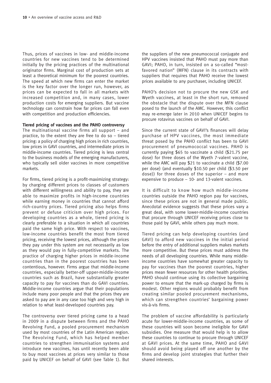Thus, prices of vaccines in low- and middle-income countries for new vaccines tend to be determined initially by the pricing practices of the multinational originator firms. Marginal cost of production sets at least a theoretical minimum for the poorest countries. The speed at which new firms can enter the market is the key factor over the longer run, however, as prices can be expected to fall in all markets with increased competition and, in many cases, lower production costs for emerging suppliers. But vaccine technology can constrain how far prices can fall even with competition and production efficiencies.

#### **Tiered pricing of vaccines and the PAHO controversy**

The multinational vaccine firms all support – and practice, to the extent they are free to do so – tiered pricing: a policy of charging high prices in rich countries, low prices in GAVI countries, and intermediate prices in middle-income countries. Tiered pricing is less central to the business models of the emerging manufacturers, who typically sell older vaccines in more competitive markets.

For firms, tiered pricing is a profit-maximizing strategy: by charging different prices to classes of customers with different willingness and ability to pay, they are able to maximize profits in high-income countries while earning money in countries that cannot afford rich-country prices. Tiered pricing also helps firms prevent or defuse criticism over high prices. For developing countries as a whole, tiered pricing is clearly preferable to a situation in which all countries paid the same high price. With respect to vaccines, low-income countries benefit the most from tiered pricing, receiving the lowest prices, although the prices they pay under this system are not necessarily as low as they would pay in fully-competitive markets. The practice of charging higher prices in middle-income countries than in the poorest countries has been contentious, however. Firms argue that middle-income countries, especially better-off upper-middle-income countries such as Brazil, have substantially greater capacity to pay for vaccines than do GAVI countries. Middle-income countries argue that their populations include many poor people and that the prices they are asked to pay are in any case too high and very high in relation to what least-developed countries pay.

The controversy over tiered pricing came to a head in 2009 in a dispute between firms and the PAHO Revolving Fund, a pooled procurement mechanism used by most countries of the Latin American region. The Revolving Fund, which has helped member countries to strengthen immunisation systems and introduce new vaccines, has until recently been able to buy most vaccines at prices very similar to those paid by UNICEF on behalf of GAVI (see Table 1). But the suppliers of the new pneumococcal conjugate and HPV vaccines insisted that PAHO must pay more than GAVI; PAHO, in turn, insisted on a so-called "mostfavored nation" (MFN) clause in its contracts with suppliers that requires that PAHO receive the lowest prices available to any purchaser, including UNICEF.

PAHO's decision not to procure the new GSK and Wyeth vaccines, at least in the short run, removed the obstacle that the dispute over the MFN clause posed to the launch of the AMC. However, this conflict may re-emerge later in 2010 when UNICEF begins to procure rotavirus vaccines on behalf of GAVI.

Since the current state of GAVI's finances will delay purchase of HPV vaccines, the most immediate threat posed by the PAHO conflict has been to GAVI procurement of pneumococcal vaccines. PAHO is currently paying \$65 to vaccinate a child (\$21.75 per dose) for three doses of the Wyeth 7-valent vaccine, while the AMC will pay \$21 to vaccinate a child (\$7.00 per dose) (and eventually \$10.50 per child (\$3.50 per dose)) for three doses of the superior – and more expensive to produce – 10- and 13-valent vaccines.

It is difficult to know how much middle-income countries outside the PAHO region pay for vaccines, since these prices are not in general made public. Anecdotal evidence suggests that these prices vary a great deal, with some lower-middle-income countries that procure through UNICEF receiving prices close to those paid by GAVI, while others pay much more.

Tiered pricing can help developing countries (and GAVI) to afford new vaccines in the initial period before the entry of additional suppliers makes markets more competitive. But these prices must address the needs of all developing countries. While many middleincome countries have somewhat greater capacity to pay for vaccines than the poorest countries, higher prices mean fewer resources for other health priorities. PAHO should continue using its collective bargaining power to ensure that the mark-up charged by firms is modest. Other regions would probably benefit from creating similar pooled procurement mechanisms, which can strengthen countries' bargaining power vis-à-vis firms.

The problem of vaccine affordability is particularly acute for lower-middle-income countries, as some of these countries will soon become ineligible for GAVI subsidies. One measure that would help is to allow these countries to continue to procure through UNICEF at GAVI prices. At the same time, PAHO and GAVI should avoid being played off one another by the firms and develop joint strategies that further their shared interests.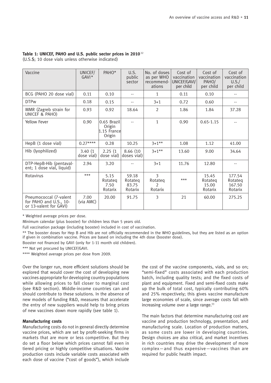#### **Table 1: UNICEF, PAHO and U.S. public sector prices in 2010**<sup>32</sup>

(U.S.\$; 10 dose vials unless otherwise indicated)

| Vaccine                                                                    | UNICEF/<br>$GAVI*$    | PAHO*                                           | U.S.<br>public<br>sector             | No. of doses<br>as per WHO<br>recommend-<br>ations | Cost of<br>vaccination<br>UNICEF/GAVI/<br>per child | Cost of<br>vaccination<br>PAHO/<br>per child | Cost of<br>vaccination<br>U.S./<br>per child |
|----------------------------------------------------------------------------|-----------------------|-------------------------------------------------|--------------------------------------|----------------------------------------------------|-----------------------------------------------------|----------------------------------------------|----------------------------------------------|
| BCG (PAHO 20 dose vial)                                                    | 0.11                  | 0.10                                            | --                                   | 1                                                  | 0.11                                                | 0.10                                         |                                              |
| <b>DTPw</b>                                                                | 0.18                  | 0.15                                            | --                                   | $3 + 1$                                            | 0.72                                                | 0.60                                         | $\overline{\phantom{a}}$                     |
| MMR (Zagreb strain for<br>UNICEF & PAHO)                                   | 0.93                  | 0.92                                            | 18.64                                | 2                                                  | 1.86                                                | 1.84                                         | 37.28                                        |
| <b>Yellow Fever</b>                                                        | 0.90                  | 0.65 Brazil<br>Origin<br>1.15 Francel<br>Origin | $-$                                  | $\mathbf{1}$                                       | 0.90                                                | $0.65 - 1.15$                                | $-$                                          |
| HepB (1 dose vial)                                                         | $0.27***$             | 0.28                                            | 10.25                                | $3+1**$                                            | 1.08                                                | 1.12                                         | 41.00                                        |
| Hib (lyophilized)                                                          | 3.40(1)<br>dose vial) | 2.25(1)<br>dose vial)                           | 8.66 (10)<br>doses vial)             | $3+1**$                                            | 13.60                                               | 9.00                                         | 34.64                                        |
| DTP-HepB-Hib (pentaval-<br>ent; 1 dose vial, liquid)                       | 2.94                  | 3.20                                            |                                      | $3 + 1$                                            | 11.76                                               | 12.80                                        |                                              |
| Rotavirus                                                                  | $***$                 | 5.15<br>Rotateg<br>7.50<br>Rotarix              | 59.18<br>Rotateg<br>83.75<br>Rotarix | 3<br>Rotateg<br>$\mathcal{P}$<br>Rotarix           | $***$                                               | 15.45<br>Rotateg<br>15.00<br>Rotarix         | 177.54<br>Rotateg<br>167.50<br>Rotarix       |
| Pneumococcal (7-valent<br>for PAHO and U.S., 10-<br>or 13-valent for GAVI) | 7.00<br>(via AMC)     | 20.00                                           | 91.75                                | 3                                                  | 21                                                  | 60.00                                        | 275.25                                       |

\* Weighted average prices per dose.

Minimum calendar (plus booster) for children less than 5 years old.

Full vaccination package (including booster) included in cost of vaccination.

\*\* The booster doses for Hep B and Hib are not officially recommended in the WHO guidelines, but they are listed as an option if given in combination vaccine. Prices are based on including the 4th dose (booster dose).

Booster not financed by GAVI (only for 1-11 month old children).

\*\*\* Not yet procured by UNICEF/GAVI.

\*\*\*\* Weighted average prices per dose from 2009.

Over the longer run, more efficient solutions should be explored that would cover the cost of developing new vaccines appropriate for developing country populations while allowing prices to fall closer to marginal cost (see R&D section). Middle-income countries can and should contribute to these solutions. In the absence of new models of funding R&D, measures that accelerate the entry of new suppliers would help to bring prices of new vaccines down more rapidly (see table 1).

#### **Manufacturing costs**

Manufacturing costs do not in general directly determine vaccine prices, which are set by profit-seeking firms in markets that are more or less competitive. But they do set a floor below which prices cannot fall even in tiered pricing or highly competitive situations. Vaccine production costs include variable costs associated with each dose of vaccine ("cost of goods"), which include

the cost of the vaccine components, vials, and so on; "semi-fixed" costs associated with each production batch, including quality tests; and the fixed costs of plant and equipment. Fixed and semi-fixed costs make up the bulk of total cost, typically contributing 60% and 25% respectively; this gives vaccine manufacture large economies of scale, since average costs fall with increasing volume over a large range.<sup>33</sup>

The main factors that determine manufacturing cost are vaccine and production technology, presentation, and manufacturing scale. Location of production matters, as some costs are lower in developing countries. Design choices are also critical, and market incentives in rich countries may drive the development of more complex—and thus expensive—vaccines than are required for public health impact.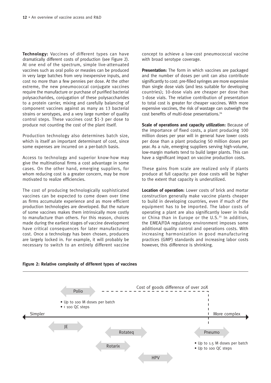**Technology:** Vaccines of different types can have dramatically different costs of production (see Figure 2). At one end of the spectrum, simple live-attenuated vaccines such as oral polio or measles can be produced in very large batches from very inexpensive inputs, and cost no more than a few pennies per dose. At the other extreme, the new pneumococcal conjugate vaccines require the manufacture or purchase of purified bacterial polysaccharides, conjugation of these polysaccharides to a protein carrier, mixing and carefully balancing of component vaccines against as many as 13 bacterial strains or serotypes, and a very large number of quality control steps. These vaccines cost \$1-3 per dose to produce not counting the cost of the plant itself.

Production technology also determines batch size, which is itself an important determinant of cost, since some expenses are incurred on a per-batch basis.

Access to technology and superior know-how may give the multinational firms a cost advantage in some cases. On the other hand, emerging suppliers, for whom reducing cost is a greater concern, may be more motivated to realize efficiencies.

The cost of producing technologically sophisticated vaccines can be expected to come down over time as firms accumulate experience and as more efficient production technologies are developed. But the nature of some vaccines makes them intrinsically more costly to manufacture than others. For this reason, choices made during the earliest stages of vaccine development have critical consequences for later manufacturing cost. Once a technology has been chosen, producers are largely locked in. For example, it will probably be necessary to switch to an entirely different vaccine

concept to achieve a low-cost pneumococcal vaccine with broad serotype coverage.

**Presentation:** The form in which vaccines are packaged and the number of doses per unit can also contribute significantly to cost: pre-filled syringes are more expensive than single dose vials (and less suitable for developing countries); 10-dose vials are cheaper per dose than 1-dose vials. The relative contribution of presentation to total cost is greater for cheaper vaccines. With more expensive vaccines, the risk of wastage can outweigh the cost benefits of multi-dose presentations.<sup>34</sup>

**Scale of operations and capacity utilization:** Because of the importance of fixed costs, a plant producing 100 million doses per year will in general have lower costs per dose than a plant producing 50 million doses per year. As a rule, emerging suppliers serving high-volume, low-margin markets tend to build larger plants. This can have a significant impact on vaccine production costs.

These gains from scale are realized only if plants produce at full capacity: per dose costs will be higher to the extent that capacity is underutilized.

**Location of operation:** Lower costs of brick and mortar construction generally make vaccine plants cheaper to build in developing countries, even if much of the equipment has to be imported. The labor costs of operating a plant are also significantly lower in India or China than in Europe or the U.S.<sup>35</sup> In addition, the EMEA/FDA regulatory environment imposes some additional quality control and operations costs. With increasing harmonization in good manufacturing practices (GMP) standards and increasing labor costs however, this difference is shrinking.



**Figure 2: Relative complexity of different types of vaccines**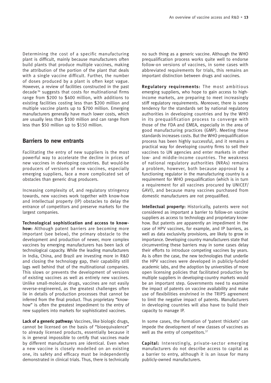Determining the cost of a specific manufacturing plant is difficult, mainly because manufacturers often build plants that produce multiple vaccines, making the attribution of the portion of the plant that deals with a single vaccine difficult. Further, the number of doses produced by a plant is often kept vague. However, a review of facilities constructed in the past decade <sup>36</sup> suggests that costs for multinational firms range from \$200 to \$400 million, with additions to existing facilities costing less than \$200 million and multiple vaccine plants up to \$700 million. Emerging manufacturers generally have much lower costs, which are usually less than \$100 million and can range from less than \$50 million up to \$150 million.

## **Barriers to new entrants**

Facilitating the entry of new suppliers is the most powerful way to accelerate the decline in prices of new vaccines in developing countries. But would-be producers of versions of new vaccines, especially emerging suppliers, face a more complicated set of obstacles than generic drug producers.

Increasing complexity of, and regulatory stringency towards, new vaccines work together with know-how and intellectual property (IP) obstacles to delay the entrance of competitors and preserve markets for the largest companies.

**Technological sophistication and access to knowhow:** Although patent barriers are becoming more important (see below), the primary obstacle to the development and production of newer, more complex vaccines by emerging manufacturers has been lack of technological capacity. While the leading manufacturers in India, China, and Brazil are investing more in R&D and closing the technology gap, their capability still lags well behind that of the multinational companies. This slows or prevents the development of versions of existing vaccines as well as entirely new vaccines. Unlike small-molecule drugs, vaccines are not easily reverse-engineered, as the greatest challenges often lie in details of production processes that cannot be inferred from the final product. Thus proprietary "knowhow" is often the greatest impediment to the entry of new suppliers into markets for sophisticated vaccines.

**Lack of a generic pathway:** Vaccines, like biologic drugs, cannot be licensed on the basis of "bioequivalence" to already licensed products, essentially because it is in general impossible to certify that vaccines made by different manufacturers are identical. Even when a new vaccine is closely modelled on an existing one, its safety and efficacy must be independently demonstrated in clinical trials. Thus, there is technically no such thing as a generic vaccine. Although the WHO prequalification process works quite well to endorse follow-on versions of vaccines, in some cases with abbreviated requirements for trials, this remains an important distinction between drugs and vaccines.

**Regulatory requirements:** The most ambitious emerging suppliers, who hope to gain access to highincome markets, are preparing to meet increasingly stiff regulatory requirements. Moreover, there is some tendency for the standards set by national regulatory authorities in developing countries and by the WHO in its prequalification process to converge with those of the FDA and EMEA, especially in the area of good manufacturing practices (GMP). Meeting these standards increases costs. But the WHO prequalification process has been highly successful, and it remains a practical way for developing country firms to sell their vaccines to UN agencies and enter markets in other low- and middle-income countries. The weakness of national regulatory authorities (NRAs) remains a problem, however, both because approval by a functioning regulator in the manufacturing country is a requirement for WHO prequalification (which is in turn a requirement for all vaccines procured by UNICEF/ GAVI), and because many vaccines purchased from domestic manufacturers are not prequalified.

**Intellectual property:** Historically, patents were not considered as important a barrier to follow-on vaccine suppliers as access to technology and proprietary knowhow. But patents are apparently an impediment in the case of HPV vaccines, for example, and IP barriers, as well as data exclusivity provisions, are likely to grow in importance. Developing country manufacturers state that circumventing these barriers may in some cases delay their efforts to introduce competing vaccines by years. As is often the case, the new technologies that underlie the HPV vaccines were developed in publicly-funded academic labs, and the adoption by universities of more open licensing policies that facilitated production by multiple suppliers in developing-country markets would be an important step. Governments need to examine the impact of patents on vaccine availability and make use of flexibilities enshrined in the TRIPS agreement to limit the negative impact of patents. Manufacturers in developing countries will also have to build their capacity to manage IP.

In some cases, the formation of 'patent thickets' can impede the development of new classes of vaccines as well as the entry of competitors.<sup>37</sup>

**Capital:** Interestingly, private-sector emerging manufacturers do not describe access to capital as a barrier to entry, although it is an issue for many publicly-owned manufacturers.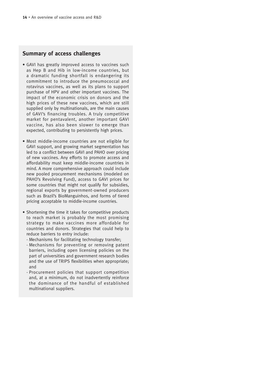## **Summary of access challenges**

- GAVI has greatly improved access to vaccines such as Hep B and Hib in low-income countries, but a dramatic funding shortfall is endangering its commitment to introduce the pneumococcal and rotavirus vaccines, as well as its plans to support purchase of HPV and other important vaccines. The impact of the economic crisis on donors and the high prices of these new vaccines, which are still supplied only by multinationals, are the main causes of GAVI's financing troubles. A truly competitive market for pentavalent, another important GAVI vaccine, has also been slower to emerge than expected, contributing to persistently high prices.
- Most middle-income countries are not eligible for GAVI support, and growing market segmentation has led to a conflict between GAVI and PAHO over pricing of new vaccines. Any efforts to promote access and affordability must keep middle-income countries in mind. A more comprehensive approach could include new pooled procurement mechanisms (modeled on PAHO's Revolving Fund), access to GAVI prices for some countries that might not qualify for subsidies, regional exports by government-owned producers such as Brazil's BioManguinhos, and forms of tiered pricing acceptable to middle-income countries.
- Shortening the time it takes for competitive products to reach market is probably the most promising strategy to make vaccines more affordable for countries and donors. Strategies that could help to reduce barriers to entry include:
	- Mechanisms for facilitating technology transfer;
	- Mechanisms for preventing or removing patent barriers, including open licensing policies on the part of universities and government research bodies and the use of TRIPS flexibilities when appropriate; and
	- Procurement policies that support competition and, at a minimum, do not inadvertently reinforce the dominance of the handful of established multinational suppliers.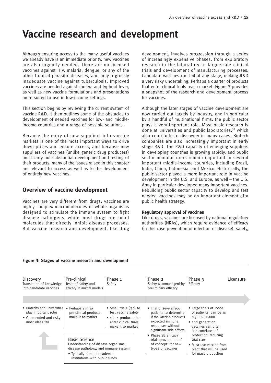# **Vaccine research and development**

Although ensuring access to the many useful vaccines we already have is an immediate priority, new vaccines are also urgently needed. There are no licensed vaccines against HIV, malaria, dengue, or any of the other tropical parasitic diseases, and only a grossly inadequate vaccine against tuberculosis. Improved vaccines are needed against cholera and typhoid fever, as well as new vaccine formulations and presentations more suited to use in low-income settings.

This section begins by reviewing the current system of vaccine R&D. It then outlines some of the obstacles to development of needed vaccines for low- and middleincome countries and a range of possible solutions.

Because the entry of new suppliers into vaccine markets is one of the most important ways to drive down prices and ensure access, and because new suppliers of vaccines (unlike generic drug producers) must carry out substantial development and testing of their products, many of the issues raised in this chapter are relevant to access as well as to the development of entirely new vaccines.

## **Overview of vaccine development**

Vaccines are very different from drugs: vaccines are highly complex macromolecules or whole organisms designed to stimulate the immune system to fight disease pathogens, while most drugs are small molecules that directly inhibit disease processes. But vaccine research and development, like drug development, involves progression through a series of increasingly expensive phases, from exploratory research in the laboratory to large-scale clinical trials and development of manufacturing processes. Candidate vaccines can fail at any stage, making R&D a very risky undertaking. Perhaps a quarter of products that enter clinical trials reach market. Figure 3 provides a snapshot of the research and development process for vaccines.

Although the later stages of vaccine development are now carried out largely by industry, and in particular by a handful of multinational firms, the public sector plays a very important role. Most basic research is done at universities and public laboratories,<sup>38</sup> which also contribute to discovery in many cases. Biotech companies are also increasingly important in early stage R&D. The R&D capacity of emerging suppliers in developing countries is growing rapidly, and public sector manufacturers remain important in several important middle-income countries, including Brazil, India, China, Indonesia, and Mexico. Historically, the public sector played a more important role in vaccine development in the U.S. and Europe, as well – the U.S. Army in particular developed many important vaccines. Rebuilding public sector capacity to develop and test needed vaccines may be an important element of a public health strategy.

#### **Regulatory approval of vaccines**

Like drugs, vaccines are licensed by national regulatory authorities (NRAs), which require evidence of efficacy (in this case prevention of infection or disease), safety,

| Discovery<br>Translation of knowledge<br>into candidate vaccines                                                                                                      | Pre-clinical<br>Tests of safety and<br>efficacy in animal models | Phase 1<br>Safety                                                                                                               |                                                                                          | Phase 2<br>Safety & Immunogenicity<br>preliminary efficacy                                                                                     | Phase 3<br>Efficacy                                                                                                                  | Licensure |
|-----------------------------------------------------------------------------------------------------------------------------------------------------------------------|------------------------------------------------------------------|---------------------------------------------------------------------------------------------------------------------------------|------------------------------------------------------------------------------------------|------------------------------------------------------------------------------------------------------------------------------------------------|--------------------------------------------------------------------------------------------------------------------------------------|-----------|
| • Biotechs and universities<br>play important roles<br>• Open-ended and risky:<br>most ideas fail                                                                     | • Perhaps 1 in 10<br>pre-clinical products<br>make it to market  | • Small trials $(30)$ to<br>test vaccine safety<br>$\bullet$ 1 in 4 products that<br>enter clinical trials<br>make it to market |                                                                                          | • Trial of several 100<br>patients to determine<br>if the vaccine produces<br>expected immune<br>responses without<br>significant side effects | • Large trials of 10005<br>of patients: can be as<br>high as $70,000$<br>• 2nd generation<br>vaccines can often<br>use correlates of |           |
| <b>Basic Science</b><br>Understanding of disease organisms,<br>disease pathology, and immune system<br>• Typically done at academic<br>institutions with public funds |                                                                  |                                                                                                                                 | • Phase 2B efficacy<br>trials provide 'proof<br>of concept' for new<br>types of vaccines | protection, reducing<br>trial size<br>• Must use vaccine from<br>plant that will be used<br>for mass production                                |                                                                                                                                      |           |

#### **Figure 3: Stages of vaccine research and development**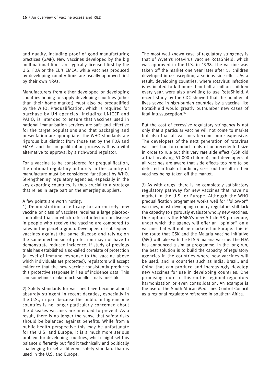and quality, including proof of good manufacturing practices (GMP). New vaccines developed by the big multinational firms are typically licensed first by the U.S. FDA or the EU's EMEA, while vaccines produced by developing country firms are usually approved first by their own NRAs.

Manufacturers from either developed or developing countries hoping to supply developing countries (other than their home market) must also be prequalified by the WHO. Prequalification, which is required for purchase by UN agencies, including UNICEF and PAHO, is intended to ensure that vaccines used in national immunisation services are safe and effective for the target populations and that packaging and presentation are appropriate. The WHO standards are rigorous but distinct from those set by the FDA and EMEA, and the prequalification process is thus a vital alternative to approval by a rich-world regulator.

For a vaccine to be considered for prequalification, the national regulatory authority in the country of manufacture must be considered functional by WHO. Strengthening regulatory agencies, especially in the key exporting countries, is thus crucial to a strategy that relies in large part on the emerging suppliers.

#### A few points are worth noting:

1) Demonstration of efficacy for an entirely new vaccine or class of vaccines requires a large placebocontrolled trial, in which rates of infection or disease in people who receive the vaccine are compared to rates in the placebo group. Developers of subsequent vaccines against the same disease and relying on the same mechanism of protection may not have to demonstrate reduced incidence. If study of previous trials has established a so-called correlate of protection (a level of immune response to the vaccine above which individuals are protected), regulators will accept evidence that the new vaccine consistently produces this protective response in lieu of incidence data. This can sometimes make much smaller trials possible.

2) Safety standards for vaccines have become almost absurdly stringent in recent decades, especially in the U.S., in part because the public in high-income countries is no longer particularly concerned about the diseases vaccines are intended to prevent. As a result, there is no longer the sense that safety risks should be balanced against benefits. While from a public health perspective this may be unfortunate for the U.S. and Europe, it is a much more serious problem for developing countries, which might set this balance differently but find it technically and politically challenging to set a different safety standard than is used in the U.S. and Europe.

The most well-known case of regulatory stringency is that of Wyeth's rotavirus vaccine RotaShield, which was approved in the U.S. in 1998. The vaccine was taken off the market one year later after 15 children developed intussusception, a serious side effect. As a result, developing countries, where rotavirus infection is estimated to kill more than half a million children every year, were also unwilling to use RotaShield. A recent study by the CDC showed that the number of lives saved in high-burden countries by a vaccine like RotaShield would greatly outnumber new cases of fatal intussusception.<sup>39</sup>

But the cost of excessive regulatory stringency is not only that a particular vaccine will not come to market but also that all vaccines become more expensive. The developers of the next generation of rotavirus vaccines had to conduct trials of unprecedented size in order to rule out this very rare side effect (GSK did a trial involving 61,000 children), and developers of all vaccines are aware that side effects too rare to be detected in trials of ordinary size could result in their vaccines being taken off the market.

3) As with drugs, there is no completely satisfactory regulatory pathway for new vaccines that have no market in the U.S. or Europe. Although the WHO prequalification programme works well for "follow-on" vaccines, most developing country regulators still lack the capacity to rigorously evaluate wholly new vaccines. One option is the EMEA's new Article 58 procedure, under which the agency will offer an "opinion" on a vaccine that will not be marketed in Europe. This is the route that GSK and the Malaria Vaccine Initiative (MVI) will take with the RTS,S malaria vaccine. The FDA has announced a similar programme. In the long run, the best solution is to build the capacity of regulatory agencies in the countries where new vaccines will be used, and in countries such as India, Brazil, and China that can produce and increasingly develop new vaccines for use in developing countries. One promising route to this end is regional regulatory harmonization or even consolidation. An example is the use of the South African Medicines Control Council as a regional regulatory reference in southern Africa.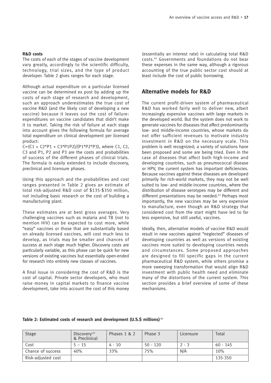#### **R&D costs**

The costs of each of the stages of vaccine development vary greatly, accordingly to the scientific difficulty, technology, trial sizes, and the type of product developer. Table 2 gives ranges for each stage.

Although actual expenditure on a particular licensed vaccine can be determined ex post by adding up the costs of each stage of research and development, such an approach underestimates the true cost of vaccine R&D (and the likely cost of developing a new vaccine) because it leaves out the cost of failure: expenditures on vaccine candidates that didn't make it to market. Taking the risk of failure at each stage into account gives the following formula for average total expenditure on clinical development per licensed product:

 $C=(C1 + C2*P1 + C3*P1P2)/(P1*P2*P3)$ , where C1, C2, C3 and P1, P2 and P3 are the costs and probabilities of success of the different phases of clinical trials. The formula is easily extended to include discovery, preclinical and licensure phases.

Using this approach and the probabilities and cost ranges presented in Table 2 gives an estimate of total risk-adjusted R&D cost of \$135-\$350 million, not including basic research or the cost of building a manufacturing plant.

These estimates are at best gross averages. Very challenging vaccines such as malaria and TB (not to mention HIV) can be expected to cost more, while "easy" vaccines or those that are substantially based on already licensed vaccines, will cost much less to develop, as trials may be smaller and chances of success at each stage much higher. Discovery costs are particularly variable, as this phase can be quick for new versions of existing vaccines but essentially open-ended for research into entirely new classes of vaccines.

A final issue in considering the cost of R&D is the cost of capital. Private sector developers, who must raise money in capital markets to finance vaccine development, take into account the cost of this money (essentially an interest rate) in calculating total R&D costs.42 Governments and foundations do not bear these expenses in the same way, although a rigorous accounting of the true public sector cost should at least include the cost of public borrowing.

## **Alternative models for R&D**

The current profit-driven system of pharmaceutical R&D has worked fairly well to deliver new, albeit increasingly expensive vaccines with large markets in the developed world. But the system does not work to generate vaccines for diseases that affect predominantly low- and middle-income countries, whose markets do not offer sufficient revenues to motivate industry investment in R&D on the necessary scale. This problem is well recognized; a variety of solutions have been proposed and some are being tried. Even in the case of diseases that affect both high-income and developing countries, such as pneumococcal disease or HPV, the current system has important deficiencies. Because vaccines against these diseases are developed primarily for rich-world markets, they may not be well suited to low- and middle-income countries, where the distribution of disease serotypes may be different and different presentations may be needed.<sup>43</sup> Perhaps most importantly, the new vaccines may be very expensive to manufacture, even though an R&D strategy that considered cost from the start might have led to far less expensive, but still useful, vaccines.

Ideally, then, alternative models of vaccine R&D would result in new vaccines against "neglected" diseases of developing countries as well as versions of existing vaccines more suited to developing countries needs and circumstances. Some proposed approaches are designed to fill specific gaps in the current pharmaceutical R&D system, while others promise a more sweeping transformation that would align R&D investment with public health need and eliminate many of the distortions of the current system. This section provides a brief overview of some of these mechanisms.

#### **Table 2: Estimated costs of research and development (U.S.\$ millions)** <sup>40</sup>

| <b>Stage</b>       | Discovery <sup>41</sup><br>& Preclinical | Phases 1 & 2 | Phase 3    | Licensure | Total      |
|--------------------|------------------------------------------|--------------|------------|-----------|------------|
| Cost               | $5 - 15$                                 | 4 - 10       | $50 - 120$ | $2 - 3$   | $60 - 145$ |
| Chance of success  | 40%                                      | 33%          | 75%        | N/A       | 10%        |
| Risk-adjusted cost |                                          |              |            |           | 135-350    |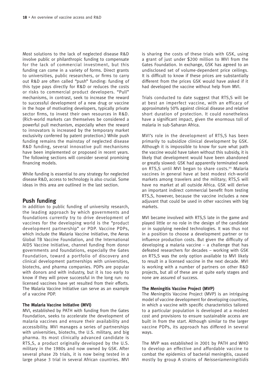Most solutions to the lack of neglected disease R&D involve public or philanthropic funding to compensate for the lack of commercial investment, but this funding can come in a variety of forms. Direct grants to universities, public researchers, or firms to carry out R&D are often called "push" funding: funding of this type pays directly for R&D or reduces the costs or risks to commercial product developers. "Pull" mechanisms, in contrast, seek to increase the reward to successful development of a new drug or vaccine in the hope of motivating developers, typically private sector firms, to invest their own resources in R&D. (Rich-world markets can themselves be considered a powerful pull mechanism, especially when the reward to innovators is increased by the temporary market exclusivity conferred by patent protection.) While push funding remains the mainstay of neglected disease R&D funding, several innovative pull mechanisms have been implemented or proposed in recent years. The following sections will consider several promising financing models.

While funding is essential to any strategy for neglected disease R&D, access to technology is also crucial. Some ideas in this area are outlined in the last section.

## **Push funding**

In addition to public funding of university research, the leading approach by which governments and foundations currently try to drive development of vaccines for the developing world is the "product development partnership" or PDP. Vaccine PDPs, which include the Malaria Vaccine Initiative, the Aeras Global TB Vaccine Foundation, and the International AIDS Vaccine Initiative, channel funding from donor governments and foundations, especially the Gates Foundation, toward a portfolio of discovery and clinical development partnerships with universities, biotechs, and pharma companies. PDPs are popular with donors and with industry, but it is too early to know if they will prove successful in the long run: no licensed vaccines have yet resulted from their efforts. The Malaria Vaccine Initiative can serve as an example of a vaccine PDP.

#### **The Malaria Vaccine Initiative (MVI)**

MVI, established by PATH with funding from the Gates Foundation, seeks to accelerate the development of malaria vaccines and ensure their availability and accessibility. MVI manages a series of partnerships with universities, biotechs, the U.S. military, and big pharma. Its most clinically advanced candidate is RTS,S, a product originally developed by the U.S. military in the 1980s and now owned by GSK. After several phase 2b trials, it is now being tested in a large phase 3 trial in several African countries. MVI

is sharing the costs of these trials with GSK, using a grant of just under \$200 million to MVI from the Gates Foundation. In exchange, GSK has agreed to an undisclosed set of volume-dependent price ceilings. It is difficult to know if these prices are substantially different from the prices GSK would have asked if it had developed the vaccine without help from MVI.

Trials conducted to date suggest that RTS,S will be at best an imperfect vaccine, with an efficacy of approximately 50% against clinical disease and relative short duration of protection. It could nonetheless have a significant impact, given the enormous toll of malaria in sub-Saharan Africa.

MVI's role in the development of RTS,S has been primarily to subsidize clinical development by GSK. Although it is impossible to know for sure what path the vaccine would have taken without this subsidy, it is likely that development would have been abandoned or greatly slowed: GSK had apparently terminated work on RTS,S until MVI began to share costs.<sup>44</sup> Malaria vaccines in general have at best modest rich-world markets among travelers and the military; RTS,S will have no market at all outside Africa. GSK will derive an important indirect commercial benefit from testing RTS,S, however, because the vaccine includes a new adjuvant that could be used in other vaccines with big markets.

MVI became involved with RTS,S late in the game and played little or no role in the design of the candidate or in supplying needed technologies. It was thus not in a position to choose a development partner or to influence production costs. But given the difficulty of developing a malaria vaccine – a challenge that has defeated researchers for decades – working with GSK on RTS,S was the only option available to MVI likely to result in a licensed vaccine in the next decade. MVI is working with a number of partners on other R&D projects, but all of these are at quite early stages and none are assured of success.

#### **The Meningitis Vaccine Project (MVP)**

The Meningitis Vaccine Project (MVP) is an intriguing model of vaccine development for developing countries, in which a vaccine with specific characteristics tailored to a particular population is developed at a modest cost and provisions to ensure sustainable access are built in from the start. Although similar to the larger vaccine PDPs, its approach has differed in several ways.

The MVP was established in 2001 by PATH and WHO to develop an effective and affordable vaccine to combat the epidemics of bacterial meningitis, caused mostly by group A strains of Neisseriameningitidis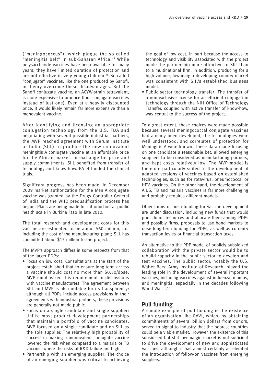("meningococcus"), which plague the so-called "meningitis belt" in sub-Saharan Africa. <sup>45</sup> While polysaccharide vaccines have been available for many years, they have limited duration of protection and are not effective in very young children.<sup>46</sup> So-called "conjugate" vaccines, like the one produced by Sanofi, in theory overcome these disadvantages. But the Sanofi conjugate vaccine, an ACYW-strain tetravalent, is more expensive to produce (four conjugate vaccines instead of just one). Even at a heavily discounted price, it would likely remain far more expensive than a monovalent vaccine.

After identifying and licensing an appropriate conjugation technology from the U.S. FDA and negotiating with several possible industrial partners, the MVP reached agreement with Serum Institute of India (SIIL) to produce the new monovalent meningitis A conjugate vaccine at an affordable price for the African market. In exchange for price and supply commitments, SIIL benefited from transfer of technology and know-how. PATH funded the clinical trials.

Significant progress has been made. In December 2009 market authorization for the Men A conjugate vaccine was granted by the Drugs Controller General of India and the WHO prequalification process has begun. Plans are being made for introduction at public health scale in Burkina Faso in late 2010.

The total research and development costs for this vaccine are estimated to be about \$60 million, not including the cost of the manufacturing plant; SIIL has committed about \$15 million to the project.

The MVP's approach differs in some respects from that of the larger PDPs:

- Focus on low cost: Consultations at the start of the project established that to ensure long-term access a vaccine should cost no more than \$0.50/dose. MVP emphasized this requirement in discussions with vaccine manufacturers. The agreement between SIIL and MVP is also notable for its transparency: although all PDPs include access provisions in their agreements with industrial partners, these provisions are generally not made public.
- Focus on a single candidate and single supplier: Unlike most product development partnerships that maintain a portfolio of vaccine candidates, MVP focused on a single candidate and on SIIL as the sole supplier. The relatively high probability of success in making a monovalent conjugate vaccine lowered the risk when compared to a malaria or TB vaccine, where the risks of R&D failure are high.
- Partnership with an emerging supplier: The choice of an emerging supplier was critical to achieving

the goal of low cost, in part because the access to technology and visibility associated with the project made the partnership more attractive to SIIL than to a multinational firm. In addition, producing for a high-volume, low-margin developing country market was consistent with SIIL's established business model.

• Public sector technology transfer: The transfer of a non-exclusive license for an efficient conjugation technology through the NIH Office of Technology Transfer, coupled with active transfer of know-how, was central to the success of the project.

To a great extent, these choices were made possible because several meningococcal conjugate vaccines had already been developed, the technologies were well understood, and correlates of protection for Meningitis A were known. These data made focusing on one candidate a reasonable bet, allowed emerging suppliers to be considered as manufacturing partners, and kept costs relatively low. The MVP model is therefore particularly suited to the development of adapted versions of vaccines based on established technologies, such as for rotavirus, pneumococcal or HPV vaccines. On the other hand, the development of AIDS, TB and malaria vaccines is far more challenging and probably requires different models.

Other forms of push funding for vaccine development are under discussion, including new funds that would pool donor resources and allocate them among PDPs and possibly firms, proposals to use bond markets to raise long-term funding for PDPs, as well as currency transaction levies or financial transaction taxes.

An alternative to the PDP model of publicly subsidized collaboration with the private sector would be to rebuild capacity in the public sector to develop and test vaccines. The public sector, notably the U.S. Walter Reed Army Institute of Research, played the leading role in the development of several important vaccines, including vaccines against influenza, mumps, and meningitis, especially in the decades following World War II.<sup>47</sup>

## **Pull funding**

A simple example of pull funding is the existence of an organisation like GAVI, which, by obtaining commitments of several billion dollars from donors, served to signal to industry that the poorest countries could be a viable market. However, the existence of this subsidised but still low-margin market is not sufficient to drive the development of new and sophisticated vaccines, although it has almost certainly accelerated the introduction of follow-on vaccines from emerging suppliers.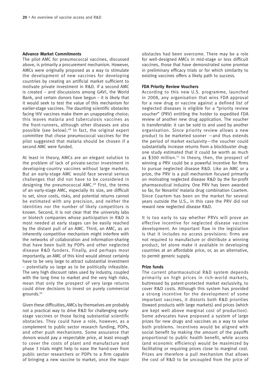#### **Advance Market Commitments**

The pilot AMC for pneumococcal vaccines, discussed above, is primarily a procurement mechanism. However, AMCs were originally proposed as a way to stimulate the development of new vaccines for developing countries by creating an artificial market sufficient to motivate private investment in R&D. If a second AMC is created – and discussions among GAVI, the World Bank, and certain donors have begun – it is likely that it would seek to test the value of this mechanism for earlier-stage vaccines. The daunting scientific obstacles facing HIV vaccines make them an unappealing choice; this leaves malaria and tuberculosis vaccines as the front-runners, although other diseases are also possible (see below).<sup>48</sup> In fact, the original expert committee that chose pneumococcal vaccines for the pilot suggested that malaria should be chosen if a second AMC were funded.

At least in theory, AMCs are an elegant solution to the problem of lack of private-sector investment in developing-country vaccines without large markets. But an early-stage AMC would face several serious challenges that did not have to be considered in designing the pneumococcal AMC.49 First, the terms of an early-stage AMC, especially its size, are difficult to set, since costs, risks, and potential returns cannot be estimated with any precision, and neither the identities nor the number of likely competitors is known. Second, it is not clear that the university labs or biotech companies whose participation in R&D is most needed at early stages can be easily reached by the distant pull of an AMC. Third, an AMC, as an inherently competitive mechanism might interfere with the networks of collaboration and information-sharing that have been built by PDPs and other neglected disease R&D funders. Finally, and perhaps most importantly, an AMC of this kind would almost certainly have to be very large to attract substantial investment – potentially so large as to be politically infeasible. The very high discount rates used by industry, coupled with the long time to market and the very high risks, mean that only the prospect of very large returns could drive decisions to invest on purely commercial grounds.<sup>50</sup>

Given these difficulties, AMCs by themselves are probably not a practical way to drive R&D for challenging earlystage vaccines or those facing substantial scientific obstacles. They could have a role, however, as a complement to public sector research funding, PDPs, and other push mechanisms. Some assurance that donors would pay a respectable price, at least enough to cover the costs of plant and manufacture and phase 3 trials might help to ease the hand-over from public sector researchers or PDPs to a firm capable of bringing a new vaccine to market, once the major obstacles had been overcome. There may be a role for well-designed AMCs in mid-stage or less difficult vaccines, those that have demonstrated some promise in preliminary efficacy trials or for which similarity to existing vaccines offers a likely path to success.

#### **FDA Priority Review Vouchers**

According to this new U.S. programme, launched in 2008, any organisation that wins FDA approval for a new drug or vaccine against a defined list of neglected diseases is eligible for a "priority review voucher" (PRV) entitling the holder to expedited FDA review of another new drug application. The voucher is transferrable: it can be sold to and used by another organisation. Since priority review allows a new product to be marketed sooner —and thus extends the period of market exclusivity—the voucher could substantially increase returns from a blockbuster drug: one study estimated that it could be worth as much as \$300 million.<sup>51</sup> In theory, then, the prospect of winning a PRV could be a powerful incentive for firms to pursue neglected disease R&D. Like an AMC or a prize, the PRV is a pull mechanism focused primarily on motivating neglected disease R&D by the for-profit pharmaceutical industry. One PRV has been awarded so far, for Novartis' malaria drug combination Coartem. Since Coartem has been on the market for several years outside the U.S., in this case the PRV did not reward new neglected disease R&D.

It is too early to say whether PRVs will prove an effective incentive for neglected disease vaccine development. An important flaw in the legislation is that it includes no access provisions: firms are not required to manufacture or distribute a winning product, let alone make it available in developing countries at an affordable price, or, as an alternative, to permit generic supply.

#### **Prize funds**

The current pharmaceutical R&D system depends primarily on high prices in rich-world markets, buttressed by patent-protected market exclusivity, to cover R&D costs. Although this system has provided a strong incentive for the development of some important vaccines, it distorts both R&D priorities (toward products with large markets) and prices (which are kept well above marginal cost of production). Some advocates have proposed a system of large prizes for new drugs and vaccines as a way to solve both problems. Incentives would be aligned with social benefit by making the amount of the payoffs proportional to public health benefit, while access (and economic efficiency) would be maximized by facilitating or requiring prices close to marginal cost. Prizes are therefore a pull mechanism that allows the cost of R&D to be uncoupled from the price of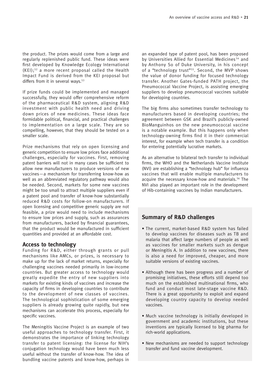the product. The prizes would come from a large and regularly replenished public fund. These ideas were first developed by Knowledge Ecology International  $(KE)$ ;<sup>52</sup> a more recent proposal called the Health Impact Fund is derived from the KEI proposal but differs from it in several ways.<sup>53</sup>

If prize funds could be implemented and managed successfully, they would offer comprehensive reform of the pharmaceutical R&D system, aligning R&D investment with public health need and driving down prices of new medicines. These ideas face formidable political, financial, and practical challenges to implementation on a large scale. They are so compelling, however, that they should be tested on a smaller scale.

Prize mechanisms that rely on open licensing and generic competition to ensure low prices face additional challenges, especially for vaccines. First, removing patent barriers will not in many cases be sufficient to allow new manufacturers to produce versions of new vaccines—a mechanism for transferring know-how as well as an abbreviated regulatory pathway would also be needed. Second, markets for some new vaccines might be too small to attract multiple suppliers even if a patent pool and transfer of know-how substantially reduced R&D costs for follow-on manufacturers. If open licensing and competitive generic supply are not feasible, a prize would need to include mechanisms to ensure low prices and supply, such as assurances from manufacturers, backed by financial guarantees, that the product would be manufactured in sufficient quantities and provided at an affordable cost.

#### **Access to technology**

Funding for R&D, either through grants or pull mechanisms like AMCs, or prizes, is necessary to make up for the lack of market returns, especially for challenging vaccines needed primarily in low-income countries. But greater access to technology would greatly expedite the entry of new suppliers into markets for existing kinds of vaccines and increase the capacity of firms in developing countries to contribute to the development of new classes of vaccines. The technological sophistication of some emerging suppliers is already growing quite rapidly, but new mechanisms can accelerate this process, especially for specific vaccines.

The Meningitis Vaccine Project is an example of two useful approaches to technology transfer. First, it demonstrates the importance of linking technology transfer to patent licensing: the license for NIH's conjugation technology would have been much less useful without the transfer of know-how. The idea of bundling vaccine patents and know-how, perhaps in an expanded type of patent pool, has been proposed by Universities Allied for Essential Medicines<sup>54</sup> and by Anthony So of Duke University, in his concept of a "technology trust"<sup>55</sup>. Second, the MVP shows the value of donor funding for focused technology transfer. Another Gates-funded PATH project, the Pneumococcal Vaccine Project, is assisting emerging suppliers to develop pneumococcal vaccines suitable for developing countries.

The big firms also sometimes transfer technology to manufacturers based in developing countries; the agreement between GSK and Brazil's publicly-owned BioManguinhos on the new pneumococcal vaccine is a notable example. But this happens only when technology-owning firms find it in their commercial interest, for example when tech transfer is a condition for entering potentially lucrative markets.

As an alternative to bilateral tech transfer to individual firms, the WHO and the Netherlands Vaccine Institute (NVI) are establishing a "technology hub" for influenza vaccines that will enable multiple manufacturers to acquire the necessary know-how and materials.<sup>56</sup> The NVI also played an important role in the development of Hib-containing vaccines by Indian manufacturers.

## **Summary of R&D challenges**

- The current, market-based R&D system has failed to develop vaccines for diseases such as TB and malaria that affect large numbers of people as well as vaccines for smaller markets such as dengue or Meningitis A. In addition to new vaccines, there is also a need for improved, cheaper, and more suitable versions of existing vaccines.
- Although there has been progress and a number of promising initiatives, these efforts still depend too much on the established multinational firms, who fund and conduct most late-stage vaccine R&D. There is a great opportunity to exploit and expand developing country capacity to develop needed vaccines.
- Much vaccine technology is initially developed in government and academic institutions, but these inventions are typically licensed to big pharma for rich-world applications.
- New mechanisms are needed to support technology transfer and fund vaccine development.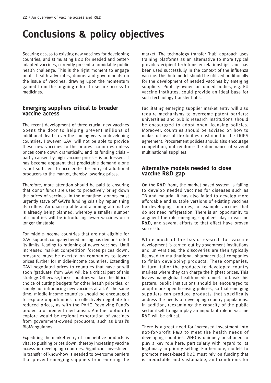# **Conclusions & policy objectives**

Securing access to existing new vaccines for developing countries, and stimulating R&D for needed and betteradapted vaccines, currently present a formidable public health challenge. This is the right moment to engage public health advocates, donors and governments on the issue of vaccines, drawing upon the momentum gained from the ongoing effort to secure access to medicines.

## **Emerging suppliers critical to broader vaccine access**

The recent development of three crucial new vaccines opens the door to helping prevent millions of additional deaths over the coming years in developing countries. However, GAVI will not be able to provide these new vaccines to the poorest countries unless prices come down dramatically, and its funding crisis – partly caused by high vaccine prices – is addressed. It has become apparent that predictable demand alone is not sufficient to accelerate the entry of additional producers to the market, thereby lowering prices.

Therefore, more attention should be paid to ensuring that donor funds are used to proactively bring down the prices of vaccines. In the meantime, donors must urgently stave off GAVI's funding crisis by replenishing its coffers. An unacceptable and alarming alternative is already being planned, whereby a smaller number of countries will be introducing fewer vaccines on a longer timetable.

For middle-income countries that are not eligible for GAVI support, company tiered pricing has demonstrated its limits, leading to rationing of newer vaccines. Until increased market competition forces prices down, pressure must be exerted on companies to lower prices further for middle-income countries. Extending GAVI negotiated prices to countries that have or will soon 'graduate' from GAVI will be a critical part of this strategy. Otherwise, these countries will face the difficult choice of cutting budgets for other health priorities, or simply not introducing new vaccines at all. At the same time, middle-income countries should be encouraged to explore opportunities to collectively negotiate for reduced prices, as with the PAHO Revolving Fund's pooled procurement mechanism. Another option to explore would be regional exportation of vaccines from government-owned producers, such as Brazil's BioManguinhos.

Expediting the market entry of competitive products is vital to pushing prices down, thereby increasing vaccine access in developing countries. Significant investment in transfer of know-how is needed to overcome barriers that prevent emerging suppliers from entering the

market. The technology transfer 'hub' approach uses training platforms as an alternative to more typical provider/recipient tech-transfer relationships, and has been used successfully in the context of the influenza vaccine. This hub model should be utilized additionally for the development of needed vaccines by emerging suppliers. Publicly-owned or funded bodies, e.g. EU vaccine institutes, could provide an ideal base for such technology transfer hubs.

Facilitating emerging supplier market entry will also require mechanisms to overcome patent barriers: universities and public research institutions should be encouraged to adopt open licensing policies. Moreover, countries should be advised on how to make full use of flexibilities enshrined in the TRIPS agreement. Procurement policies should also encourage competition, not reinforce the dominance of several multinational suppliers.

## **Alternative models needed to close vaccine R&D gap**

On the R&D front, the market-based system is failing to develop needed vaccines for diseases such as TB and malaria. It has also failed to develop more affordable and suitable versions of existing vaccines for developing countries, for example vaccines that do not need refrigeration. There is an opportunity to augment the role emerging suppliers play in vaccine R&D, and several efforts to that effect have proven successful.

While much of the basic research for vaccine development is carried out by government institutions and universities, the discoveries are then typically licensed to multinational pharmaceutical companies to finish developing products. These companies, in turn, tailor the products to developed country markets where they can charge the highest prices. This leaves many global health needs unmet. To break this pattern, public institutions should be encouraged to adopt more open licensing policies, so that emerging suppliers can produce products that specifically address the needs of developing country populations. In addition, reexamining the capacity of the public sector itself to again play an important role in vaccine R&D will be critical.

There is a great need for increased investment into not-for-profit R&D to meet the health needs of developing countries. WHO is uniquely positioned to play a key role here, particularly with regard to its legitimacy in priority setting. Furthermore, models to promote needs-based R&D must rely on funding that is predictable and sustainable, and conditions for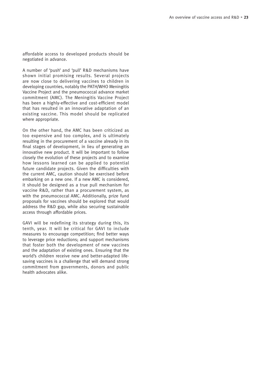affordable access to developed products should be negotiated in advance.

A number of 'push' and 'pull' R&D mechanisms have shown initial promising results. Several projects are now close to delivering vaccines to children in developing countries, notably the PATH/WHO Meningitis Vaccine Project and the pneumococcal advance market commitment (AMC). The Meningitis Vaccine Project has been a highly-effective and cost-efficient model that has resulted in an innovative adaptation of an existing vaccine. This model should be replicated where appropriate.

On the other hand, the AMC has been criticized as too expensive and too complex, and is ultimately resulting in the procurement of a vaccine already in its final stages of development, in lieu of generating an innovative new product. It will be important to follow closely the evolution of these projects and to examine how lessons learned can be applied to potential future candidate projects. Given the difficulties with the current AMC, caution should be exercised before embarking on a new one. If a new AMC is considered, it should be designed as a true pull mechanism for vaccine R&D, rather than a procurement system, as with the pneumococcal AMC. Additionally, prize fund proposals for vaccines should be explored that would address the R&D gap, while also securing sustainable access through affordable prices.

GAVI will be redefining its strategy during this, its tenth, year. It will be critical for GAVI to include measures to encourage competition; find better ways to leverage price reductions; and support mechanisms that foster both the development of new vaccines and the adaptation of existing ones. Ensuring that the world's children receive new and better-adapted lifesaving vaccines is a challenge that will demand strong commitment from governments, donors and public health advocates alike.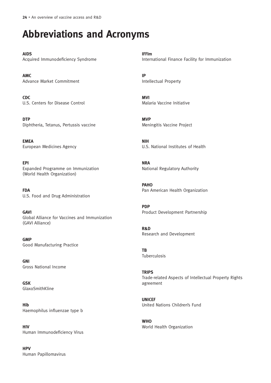# **Abbreviations and Acronyms**

**AIDS** Acquired Immunodeficiency Syndrome

**AMC** Advance Market Commitment

**CDC** U.S. Centers for Disease Control

**DTP** Diphtheria, Tetanus, Pertussis vaccine

**EMEA** European Medicines Agency

**EPI** Expanded Programme on Immunization (World Health Organization)

**FDA** U.S. Food and Drug Administration

**GAVI** Global Alliance for Vaccines and Immunization (GAVI Alliance)

**GMP** Good Manufacturing Practice

**GNI** Gross National Income

**GSK** GlaxoSmithKline

**Hib** Haemophilus influenzae type b

**HIV** Human Immunodeficiency Virus

**HPV** Human Papillomavirus **IFFIm** International Finance Facility for Immunization

**IP** Intellectual Property

**MVI** Malaria Vaccine Initiative

**MVP** Meningitis Vaccine Project

**NIH** U.S. National Institutes of Health

**NRA** National Regulatory Authority

**PAHO** Pan American Health Organization

**PDP** Product Development Partnership

**R&D** Research and Development

**TB** Tuberculosis

**TRIPS** Trade-related Aspects of Intellectual Property Rights agreement

**UNICEF** United Nations Children's Fund

**WHO** World Health Organization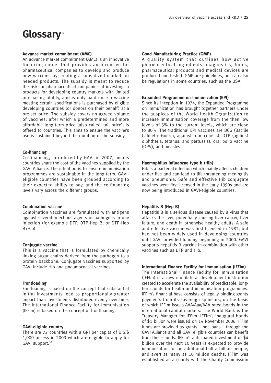## Glossary<sup>57</sup>

#### **Advance market commitment (AMC)**

An advance market commitment (AMC) is an innovative financing model that provides an incentive for pharmaceutical companies to develop and produce new vaccines by creating a subsidized market for needed products. The subsidy is meant to reduce the risk for pharmaceutical companies of investing in products for developing country markets with limited purchasing ability, and is only paid once a vaccine meeting certain specifications is purchased by eligible developing countries (or donors on their behalf) at a pre-set price. The subsidy covers an agreed volume of vaccines, after which a predetermined and more affordable long-term price (also called 'tail price') is offered to countries. This aims to ensure the vaccine's use is sustained beyond the duration of the subsidy.

#### **Co-financing**

Co-financing, introduced by GAVI in 2007, means countries share the cost of the vaccines supplied by the GAVI Alliance. The intention is to ensure immunisation programmes are sustainable in the long-term. GAVIeligible countries have been grouped according to their expected ability to pay, and the co-financing levels vary across the different groups.

#### **Combination vaccine**

Combination vaccines are formulated with antigens against several infectious agents or pathogens in one injection (for example DTP, DTP-Hep B, or DTP-Hep B+Hib).

#### **Conjugate vaccine**

This is a vaccine that is formulated by chemically linking sugar chains derived from the pathogen to a protein backbone. Conjugate vaccines supported by GAVI include Hib and pneumococcal vaccines.

#### **Frontloading**

Fontloading is based on the concept that substantial initial investments lead to proportionally greater impact than investments distributed evenly over time. The International Finance Facility for Immunisation (IFFIm) is based on the concept of frontloading.

#### **GAVI-eligible country**

There are 72 countries with a GNI per capita of U.S.\$ 1,000 or less in 2003 which are eligible to apply for GAVI support.<sup>58</sup>

#### **Good Manufacturing Practice (GMP)**

A quality system that outlines how active pharmaceutical ingredients, diagnostics, foods, pharmaceutical products and medical devices are produced and tested. GMP are guidelines, but can also be regulations in some countries, such as the USA.

#### **Expanded Programme on Immunization (EPI)**

Since its inception in 1974, the Expanded Programme on Immunization has brought together partners under the auspices of the World Health Organization to increase immunisation coverage from the then low levels of 5% to the current levels, which are close to 80%. The traditional EPI vaccines are BCG (Bacille Calmette-Guérin, against tuberculosis), DTP (against diphtheria, tetanus, and pertussis), oral polio vaccine (OPV), and measles.

#### **Haemophilus influenzae type b (Hib)**

Hib is a bacterial infection which mainly affects children under five and can lead to life-threatening meningitis and pneumonia. Safe and effective Hib conjugate vaccines were first licensed in the early 1990s and are now being introduced in GAVI-eligible countries.

#### **Hepatitis B (Hep B)**

Hepatitis B is a serious disease caused by a virus that attacks the liver, potentially causing liver cancer, liver failure, and death in otherwise healthy adults. A safe and effective vaccine was first licensed in 1982, but had not been widely used in developing countries until GAVI provided funding beginning in 2000. GAVI supports hepatitis B vaccine in combination with other vaccines such as DTP and Hib.

#### **International Finance Facility for Immunisation (IFFIm)**

The International Finance Facility for Immunisation (IFFIm) is a new multilateral development institution created to accelerate the availability of predictable, longterm funds for health and immunisation programmes. IFFIm's financial base consists of legally binding grants payments from its sovereign sponsors, on the basis of which IFFIm issues AAA/Aaa/AAA-rated bonds in the international capital markets. The World Bank is the Treasury Manager for IFFIm. IFFIm's inaugural bonds of \$1 billion were issued on 14 November 2006. IFFIm funds are provided as grants – not loans – through the GAVI Alliance and all GAVI eligible countries can benefit from these funds. IFFIm's anticipated investment of \$4 billion over the next 10 years is expected to provide immunisation for an additional half a billion people, and avert as many as 10 million deaths. IFFIm was established as a charity with the Charity Commission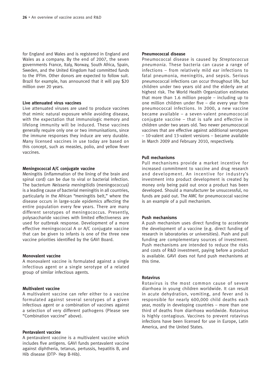for England and Wales and is registered in England and Wales as a company. By the end of 2007, the seven governments France, Italy, Norway, South Africa, Spain, Sweden, and the United Kingdom had committed funds to the IFFIm. Other donors are expected to follow suit. Brazil for example, has announced that it will pay \$20 million over 20 years.

#### **Live attenuated virus vaccines**

Live attenuated viruses are used to produce vaccines that mimic natural exposure while avoiding disease, with the expectation that immunologic memory and lifelong immunity will be induced. These vaccines generally require only one or two immunisations, since the immune responses they induce are very durable. Many licensed vaccines in use today are based on this concept, such as measles, polio, and yellow fever vaccines.

#### **Meningococcal A/C conjugate vaccine**

Meningitis (inflammation of the lining of the brain and spinal cord) can be due to viral or bacterial infection. The bacterium Neisseria meningitidis (meningococcus) is a leading cause of bacterial meningitis in all countries, particularly in the African "meningitis belt," where the disease occurs in large-scale epidemics affecting the entire population every few years. There are many different serotypes of meningococcus. Presently, polysaccharide vaccines with limited effectiveness are used for outbreak response. Development of a more effective meningococcal A or A/C conjugate vaccine that can be given to infants is one of the three new vaccine priorities identified by the GAVI Board.

#### **Monovalent vaccine**

A monovalent vaccine is formulated against a single infectious agent or a single serotype of a related group of similar infectious agents.

#### **Multivalent vaccine**

A multivalent vaccine can refer either to a vaccine formulated against several serotypes of a given infectious agent or a combination of vaccines against a selection of very different pathogens (Please see "Combination vaccine" above).

#### **Pentavalent vaccine**

A pentavalent vaccine is a multivalent vaccine which includes five antigens. GAVI funds pentavalent vaccine against diphtheria, tetanus, pertussis, hepatitis B, and Hib disease (DTP- Hep B-Hib).

#### **Pneumococcal disease**

Pneumococcal disease is caused by Streptococcus pneumonia. These bacteria can cause a range of infections – from relatively mild ear infections to fatal pneumonia, meningitis, and sepsis. Serious pneumococcal infections can occur throughout life, but children under two years old and the elderly are at highest risk. The World Health Organization estimates that more than 1.6 million people – including up to one million children under five – die every year from pneumococcal infections. In 2000, a new vaccine became available – a seven-valent pneumococcal conjugate vaccine – that is safe and effective in children under two years old. Two newer penumococcal vaccines that are effective against additional serotypes – 10-valent and 13-valent versions – became available in March 2009 and February 2010, respectively.

#### **Pull mechanisms**

Pull mechanisms provide a market incentive for increased commitment to vaccine and drug research and development. An incentive for industry's investment into product development is created by money only being paid out once a product has been developed. Should a manufacturer be unsuccessful, no funds are paid out. The AMC for pneumococcal vaccine is an example of a pull mechanism.

#### **Push mechanisms**

A push mechanism uses direct funding to accelerate the development of a vaccine (e.g. direct funding of research in laboratories or universities). Push and pull funding are complementary sources of investment. Push mechanisms are intended to reduce the risks and costs of R&D investment, paying before a product is available. GAVI does not fund push mechanisms at this time.

#### **Rotavirus**

Rotavirus is the most common cause of severe diarrhoea in young children worldwide. It can result in acute dehydration, vomiting, and fever and is responsible for nearly 600,000 child deaths each year, mostly in developing countries – more than one third of deaths from diarrhoea worldwide. Rotavirus is highly contagious. Vaccines to prevent rotavirus infections have been licensed for use in Europe, Latin America, and the United States.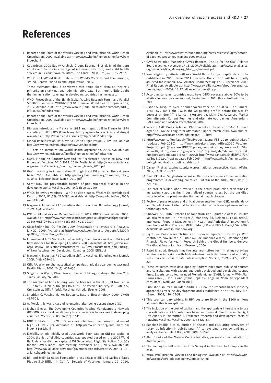## **References**

- 1 Report on the State of the World's Vaccines and Immunization. World Health Organization. 2009. Available at: http://www.who.int/immunization/sowvi/en/ index.html
- 2 Countdown 2008 Equity Analysis Group, Boerma JT et al. Mind the gap: equity and trends in coverage of maternal, newborn, and child health services in 54 countdown countries. The Lancet, 2008, 371(9620): 1259-67.
- 3 WHO/UNICEF/World Bank. State of the World's Vaccines and Immunization, 3rd ed. Geneva: World Health Organization, 2009.

These estimates should be viewed with some skepticism, as they rely primarily on shaky national administrative data. But there is little doubt that immunisation coverage in developing countries has increased.

- 4 WHO. Proceedings of the Eighth Global Vaccine Research Forum and Parallel Satellite Symposia. WHO/IVB/09.04. Geneva: World Health Organization, 2009. Available at: http://www.who.int/immunization/documents/WHO\_ IVB\_09.04/en/index.html
- 5 Report on the State of the World's Vaccines and Immunization. World Health Organization. 2009. Available at: http://www.who.int/immunization/sowvi/en/ index.html
- 6 Hib was introduced in France in 1992 and hepatitis B in France in 1994 according to AFSSAPS (French regulatory agency for vaccines and drugs) Available at: http://afssaps-prd.afssaps.fr/php/ecodex/index.php
- 7 Global Immunization Data. World Health Organization. 2009. Available at http://www.who.int/immunization/sowvi/en/index.html
- 8 10 Facts on Immunization. World Health Organization. 2009. Available at: http://www.who.int/features/factfiles/immunization/en/index.html
- 9 GAVI. Financing Country Demand for Accelerated Access to New and Underused Vaccines 2010-2015. 2010. Available at: http://www.gavialliance. org/resources/Financing\_Country\_Demand\_March\_2010.pdf
- 10 GAVI. Investing in immunization through the GAVI alliance. The evidence base. 2010. Available at: http://www.gavialliance.org/resources/GAVI\_ Alliance\_Evidence\_Base\_March\_2010.pdf
- 11 Scott JAG. The preventable burden of pneumococcal disease in the developing world. Vaccine, 2007, 25(13): 2398-2405.
- 12 WHO. Rotavirus vaccines WHO position paper. Weekly Epidemiological Record, 2007, 82(32): 285-296. Available at: http://www.who.int/wer/2007/ wer8232.pdf
- 13 Maggon K. Industrial R&D paradigm shift to vaccines. Biotechnology Journal, 2009, 4(4): 458-461.
- 14 RNCOS. Global Vaccine Market Forecast to 2012. RNCOS, Noida/India, 2007. Available at: http://www.marketresearch.com/product/display.asp?productid= 2284570&SID=80125379-468695639-522790804
- 15 GlaxoSmithKline. Q2 Results 2009. Presentation to Investors & Analysts. July 22, 2009. Available at http://www.gsk.com/investors/reports/q22009/ q22009\_presentation\_colour.pdf
- 16 International AIDS Vaccine Initiative Policy Brief. Procurement and Pricing of New Vaccines for Developing Countries. 2008. Available at: http://www.iavi. org/Lists/IAVIPublications/attachments/1367/IAVI\_Procurement\_and\_Pricing of\_New\_Vaccines\_for\_Developing\_Countries\_2008\_ENG.pdf
- 17 Maggon K. Industrial R&D paradigm shift to vaccines. Biotechnology Journal, 2009, 4(4): 458-461.
- 18 Offit PA. Why are pharmaceutical companies gradually abandoning vaccines? Health Affairs, 2005, 24(3): 622-630.
- 19 Singer N. In Wyeth, Pfizer saw a promise of biological drugs. The New York Times, January 26, 2009.
- 20 The number of firms holding vaccine licenses in the U.S. fell from 26 in 1967 to 12 in 2002. Douglas RG et al. The vaccine industry, in: Plotkin S, Orenstein W, Offit P (eds). Vaccines, 5th ed., Elsevier 2008.
- 21 Sheridan C. Vaccine Market Boosters. Nature Biotechnology, 2009, 27(6): 499-501.
- 22 At Merck, this was a case of re-entering after being absent since 1982.
- 23 Jadhav S et al. The Developing Countries Vaccine Manufacturers' Network (DCVMN) is a critical constituency to ensure access to vaccines in developing countries. Vaccine, 2008, 26 (13): 1611-5
- 24 UNICEF. State of the World's Vaccines: Childhood immunization at record high. 21 Oct 2009. Available at: http://www.unicef.org/immunization/ index\_51482.html
- 25 Eligibility criteria initially used 1998 World Bank data on GNI per capita. In 2004, the list of eligible countries was updated based on the 2003 World Bank data for GNI per capita. GAVI Secretariat. Eligibility Policy. Doc 06a for the GAVI Alliance Board meeting, November 17-18, 2009. Available at: http://www.gavialliance.org/about/governance/boards/reports/2009\_11\_17\_ allianceboardmeeting.php
- 26 Bill and Melinda Gates Foundation press release: Bill and Melinda Gates Pledge \$10 Billion in Call for Decade of Vaccines, January 29, 2010.

Available at: http://www.gatesfoundation.org/press-releases/Pages/decadeof-vaccines-wec-announcement-100129.aspx

- 27 GAVI Secretariat. Managing GAVI's finances. Doc 3a for the GAVI Alliance Board meeting, November 17-18, 2009. Available at: http://www.gavialliance. org/resources/03a\_Managing\_GAVI\_\_s\_finances.pdf
- 28 New eligibility criteria will use World Bank GNI per capita data to be published in 2010. From 2011 onwards, the criteria will be annually adjusted for inflation. GAVI Alliance Board Meeting 17-19 November, 2009, Final Report. Available at: http://www.gavialliance.org/about/governance/ boards/reports/2009\_11\_17\_allianceboardmeeting.php
- 29 According to rules, countries must have DTP3 coverage above 50% to be eligible for new vaccine support; beginning in 2011 this cut-off will rise to 70%.
- 30 Usher A. Dispute over pneumococcal vaccine initiative. The Lancet, 374: 1879–80. Light DW. Is the G8 putting profits before the world's poorest children? The Lancet, 370: 297-98. Light DW. Advanced Market Commitments: Current Realities and Alternate Approaches. Amsterdam: HAI-Europe and Medico International, 2009.
- 31 Vaccine AMC Press Release. Pharmaceutical Firms and GAVI Alliance Agree to Provide Long-term Affordable Supply. March 2010. Available at: http://www.vaccineamc.org/updatemar23\_10.html
- 32 http://www.unicef.org/supply/files/Product\_Menu\_FEB\_2010\_published.pdf (updated Feb 2010); http://www.unicef.org/supply/files/2010\_Vaccine\_ Projection.pdf (these are UNICEF prices, assuming they are also for GAVI as well); http://www.cdc.gov/vaccines/programs/vfc/cdc-vac-price-list. htm#pediatric (updated 6 April 2010); http://www.paho.org/English/AD/FCH/ IM/Sne3101.pdf (last updated Feb 2009); http://www.who.int/immunization/ policy/Immunization\_routine\_table1.pdf
- 33 Danzon P, et al. Vaccine supply: A cross national perspective. Health Affairs, 2005, 24(3): 706-717.
- 34 Drain PK, et al. Single-dose versus multi-dose vaccine vials for immunization programmes in developing countries. Bulletin of the WHO, 2003, 81(10): 726-731.
- 35 The cost of skilled labor involved in the actual production of vaccines is increasingly approaching industrialized country rates, but the unskilled labor involved in plant construction remain much cheaper.
- 36 Review of press releases and official documentation from GSK, Wyeth, Merck and Sanofi. A useful site that tracks this information is www.pharmaceuticaltechnology.com.
- 37 Shotwell SL. 2007. Patent Consolidation and Equitable Access: PATH's Malaria Vaccines, in: Krattiger A, Mahoney RT, Nelsen L, et al. (eds.). Intellectual Property Management in Health and Agricultural Innovation: A Handbook of Best Practices. MIHR: Oxford/UK and PIPRA: Davis/USA. 2007. Available at: www.ipHandbook.org.
- 38 Light DW. Basic research funds to discover important new drugs: Who contributes how much? in: Burke MA, de Francisco A (eds.). Monitoring the Financial Flows for Health Research Behind the Global Numbers. Geneva: The Global Forum for Health Research, 2006.
- 39 Patel M et al. Broadening the age restriction for initiating rotavirus vaccination in regions with high rotavirus mortality: benefits of mortality reduction versus risk of fatal intussusception. Vaccine, 2009, 27(22): 2916- 22.
- 40 These estimates were developed by Andrew Jones from published sources and consultations with experts and both developed and developing country firms. Experts consulted included Melinda Moree (BVGH, formerly MVI), Alan Brooks (MVI), Orin Levine (Johns Hopkins), Angeline Nanni (independent consultant), Mark Van Raden (NIH).

Published sources included André FE. How the research-based industry approaches vaccine development and establishes priorities. Dev Biol (Basel), 2002, 110: 25-39.

- 41 This cost can vary widely. In HIV, costs are likely in the \$100 millions although this is exceptional.
- 42 The inclusion of the cost of capital and the appropriate interest rate to use - in estimates of R&D costs have been controversial. See for example Light DW, Andrus JK, Warburton R. Estimated research and development costs of rotavirus vaccines. Vaccine, 2009, 27: 6627-33.
- 43 Sanchez-Padilla E et al. Burden of disease and circulating serotypes of rotavirus infection in sub-Saharan Africa: systematic review and metaanalysis. Lancet Infect Dis., 2009, 9(9): 567-76.
- 44 Alan Brooks of the Malaria Vaccine Initiative, personal communication to Andrew Jones.
- 45 The meningitis belt stretches from Senegal in the west to Ethiopia in the east.
- 46 WHO. Immunization, Vaccines and Biologicals. Available at: http://www.who. int/vaccines/en/olddocs/meningACproject.shtml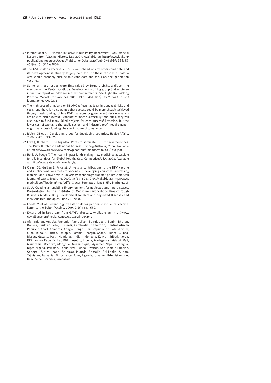- 47 International AIDS Vaccine Initiative Public Policy Department. R&D Models: Lessons from Vaccine History. July 2007. Available at: http://www.iavi.org/ publications-resources/pages/PublicationDetail.aspx?pubID=6e919e15-fb88- 4519-af13-d312aa3806cd
- 48 The GSK malaria vaccine RTS,S is well ahead of any other candidate and its development is already largely paid for. For these reasons a malaria AMC would probably exclude this candidate and focus on next-generation vaccines.
- 49 Some of these issues were first raised by Donald Light, a dissenting member of the Center for Global Development working group that wrote an influential report on advance market commitments. See Light DW. Making Practical Markets for Vaccines. 2005. PLoS Med 2(10): e271.doi:10.1371/ journal.pmed.0020271
- 50 The high cost of a malaria or TB AMC reflects, at least in part, real risks and costs, and there is no guarantee that success could be more cheaply achieved through push funding. Unless PDP managers or government decision-makers are able to pick successful candidates more successfully than firms, they will also have to fund many failed projects for each successful vaccine. But the lower cost of capital to the public sector—and industry's profit requirement might make push funding cheaper in some circumstances.
- 51 Ridley DB et al. Developing drugs for developing countries. Health Affairs, 2006, 25(2): 313-325.
- 52 Love J, Hubbard T. The big idea: Prizes to stimulate R&D for new medicines. The Ruby Hutchinson Memorial Address, Sydney/Australia, 2006. Available at: http://www.cklawreview.com/wp-content/uploads/vol82no3/Love.pdf
- 53 Hollis A, Pogge T. The health impact fund: making new medicines accessible for all. Incentives for Global Health, Yale, Connecticut/USA, 2008. Available at: http://www.yale.edu/macmillan/igh.
- 54 Crager SE, Guillen E, Price M. University contributions to the HPV vaccine and implications for access to vaccines in developing countries: addressing material and know-how in university technology transfer policy. American Journal of Law & Medicine, 2009, 35(2-3): 253-279. Available at: http://www. med4all.org/fileadmin/med/pdf/2\_Crager\_Formatted\_June3\_HPV-Impfung.pdf
- 55 So A. Creating an enabling IP environment for neglected and rare diseases. Presentation to the Institute of Medicine's workshop: Breakthrough Business Models: Drug Development for Rare and Neglected Diseases and Individualized Therapies, June 23, 2008.
- 56 Friede M et al. Technology transfer hub for pandemic influenza vaccine. Letter to the Editor. Vaccine, 2009, 27(5): 631–632.
- 57 Excerpted in large part from GAVI's glossary, Available at: http://www. gavialliance.org/media\_centre/glossary/index.php
- 58 Afghanistan, Angola, Armenia, Azerbaijan, Bangladesh, Benin, Bhutan, Bolivia, Burkina Faso, Burundi, Cambodia, Cameroon, Central African Republic, Chad, Comoros, Congo, Congo, Dem Republic of, Côte d'Ivoire, Cuba, Djibouti, Eritrea, Ethiopia, Gambia, Georgia, Ghana, Guinea, Guinea-Bissau, Guyana, Haiti, Honduras, India, Indonesia, Kenya, Kiribati, Korea, DPR, Kyrgyz Republic, Lao PDR, Lesotho, Liberia, Madagascar, Malawi, Mali, Mauritania, Moldova, Mongolia, Mozambique, Myanmar, Nepal Nicaragua, Niger, Nigeria, Pakistan, Papua New Guinea, Rwanda, São Tomé e Príncipe, Senegal, Sierra Leone, Solomon Islands, Somalia, Sri Lanka, Sudan, Tajikistan, Tanzania, Timor Leste, Togo, Uganda, Ukraine, Uzbekistan, Viet Nam, Yemen, Zambia, Zimbabwe.